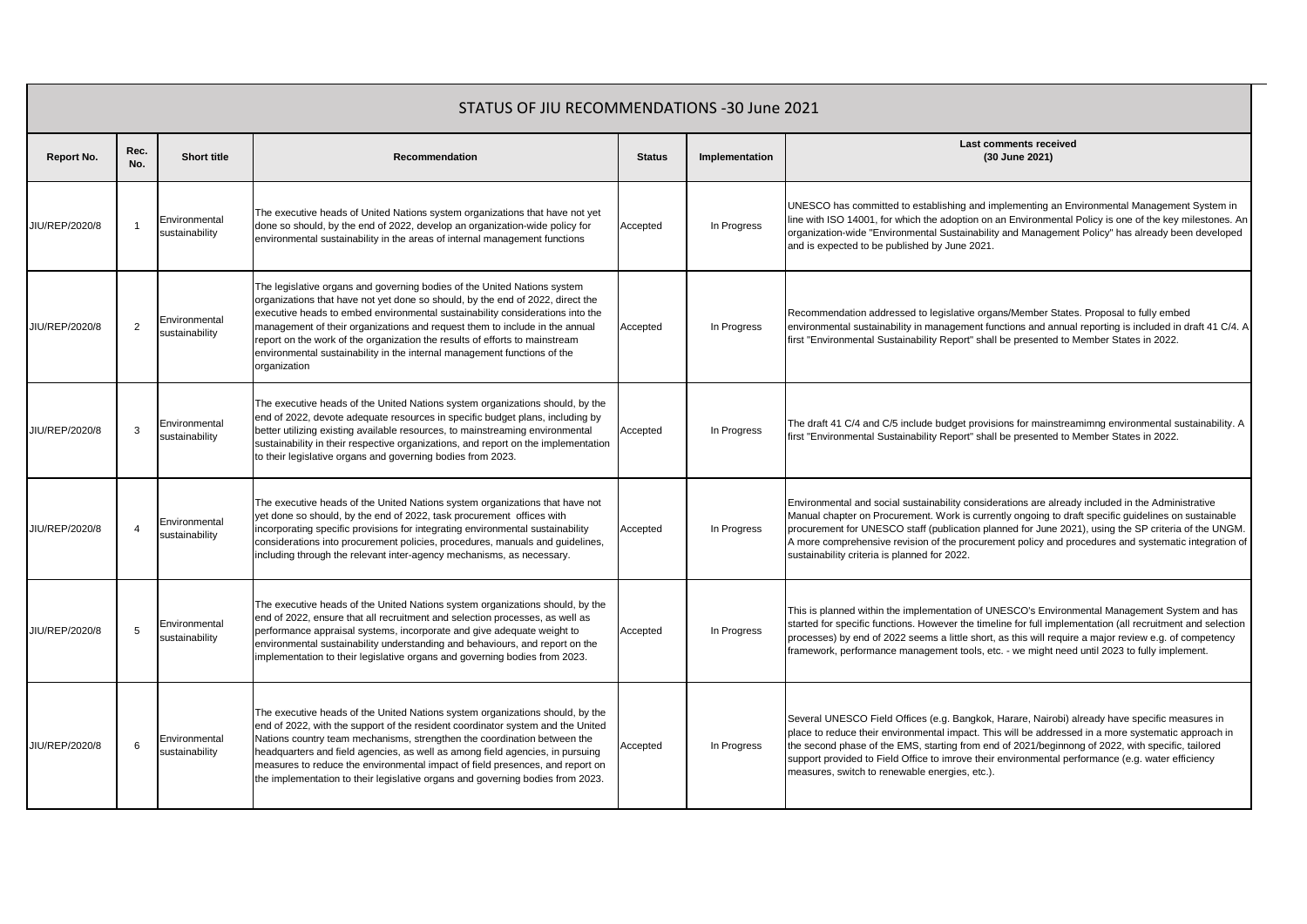|                | STATUS OF JIU RECOMMENDATIONS -30 June 2021 |                                 |                                                                                                                                                                                                                                                                                                                                                                                                                                                                                                       |               |                |                                                                                                                                                                                                                                                                                                                                                                                                                                                                           |  |  |  |  |
|----------------|---------------------------------------------|---------------------------------|-------------------------------------------------------------------------------------------------------------------------------------------------------------------------------------------------------------------------------------------------------------------------------------------------------------------------------------------------------------------------------------------------------------------------------------------------------------------------------------------------------|---------------|----------------|---------------------------------------------------------------------------------------------------------------------------------------------------------------------------------------------------------------------------------------------------------------------------------------------------------------------------------------------------------------------------------------------------------------------------------------------------------------------------|--|--|--|--|
| Report No.     | Rec.<br>No.                                 | <b>Short title</b>              | Recommendation                                                                                                                                                                                                                                                                                                                                                                                                                                                                                        | <b>Status</b> | Implementation | Last comments received<br>(30 June 2021)                                                                                                                                                                                                                                                                                                                                                                                                                                  |  |  |  |  |
| JIU/REP/2020/8 |                                             | Environmental<br>sustainability | The executive heads of United Nations system organizations that have not yet<br>done so should, by the end of 2022, develop an organization-wide policy for<br>environmental sustainability in the areas of internal management functions                                                                                                                                                                                                                                                             | Accepted      | In Progress    | UNESCO has committed to establishing and implementing an Environmental Management System in<br>line with ISO 14001, for which the adoption on an Environmental Policy is one of the key milestones. An<br>organization-wide "Environmental Sustainability and Management Policy" has already been developed<br>and is expected to be published by June 2021.                                                                                                              |  |  |  |  |
| JIU/REP/2020/8 | $\overline{2}$                              | Environmental<br>sustainability | The legislative organs and governing bodies of the United Nations system<br>organizations that have not yet done so should, by the end of 2022, direct the<br>executive heads to embed environmental sustainability considerations into the<br>management of their organizations and request them to include in the annual<br>report on the work of the organization the results of efforts to mainstream<br>environmental sustainability in the internal management functions of the<br>organization | Accepted      | In Progress    | Recommendation addressed to legislative organs/Member States. Proposal to fully embed<br>environmental sustainability in management functions and annual reporting is included in draft 41 C/4. A<br>first "Environmental Sustainability Report" shall be presented to Member States in 2022.                                                                                                                                                                             |  |  |  |  |
| JIU/REP/2020/8 | 3                                           | Environmental<br>sustainability | The executive heads of the United Nations system organizations should, by the<br>end of 2022, devote adequate resources in specific budget plans, including by<br>better utilizing existing available resources, to mainstreaming environmental<br>sustainability in their respective organizations, and report on the implementation<br>to their legislative organs and governing bodies from 2023.                                                                                                  | Accepted      | In Progress    | The draft 41 C/4 and C/5 include budget provisions for mainstreamimng environmental sustainability. A<br>first "Environmental Sustainability Report" shall be presented to Member States in 2022.                                                                                                                                                                                                                                                                         |  |  |  |  |
| JIU/REP/2020/8 | $\overline{4}$                              | Environmental<br>sustainability | The executive heads of the United Nations system organizations that have not<br>yet done so should, by the end of 2022, task procurement offices with<br>incorporating specific provisions for integrating environmental sustainability<br>considerations into procurement policies, procedures, manuals and guidelines,<br>including through the relevant inter-agency mechanisms, as necessary.                                                                                                     | Accepted      | In Progress    | Environmental and social sustainability considerations are already included in the Administrative<br>Manual chapter on Procurement. Work is currently ongoing to draft specific guidelines on sustainable<br>procurement for UNESCO staff (publication planned for June 2021), using the SP criteria of the UNGM.<br>A more comprehensive revision of the procurement policy and procedures and systematic integration of<br>sustainability criteria is planned for 2022. |  |  |  |  |
| JIU/REP/2020/8 | 5                                           | Environmental<br>sustainability | The executive heads of the United Nations system organizations should, by the<br>end of 2022, ensure that all recruitment and selection processes, as well as<br>performance appraisal systems, incorporate and give adequate weight to<br>environmental sustainability understanding and behaviours, and report on the<br>implementation to their legislative organs and governing bodies from 2023.                                                                                                 | Accepted      | In Progress    | This is planned within the implementation of UNESCO's Environmental Management System and has<br>started for specific functions. However the timeline for full implementation (all recruitment and selection<br>processes) by end of 2022 seems a little short, as this will require a major review e.g. of competency<br>framework, performance management tools, etc. - we might need until 2023 to fully implement.                                                    |  |  |  |  |
| JIU/REP/2020/8 | 6                                           | Environmental<br>sustainability | The executive heads of the United Nations system organizations should, by the<br>end of 2022, with the support of the resident coordinator system and the United<br>Nations country team mechanisms, strengthen the coordination between the<br>headquarters and field agencies, as well as among field agencies, in pursuing<br>measures to reduce the environmental impact of field presences, and report on<br>the implementation to their legislative organs and governing bodies from 2023.      | Accepted      | In Progress    | Several UNESCO Field Offices (e.g. Bangkok, Harare, Nairobi) already have specific measures in<br>place to reduce their environmental impact. This will be addressed in a more systematic approach in<br>the second phase of the EMS, starting from end of 2021/beginnong of 2022, with specific, tailored<br>support provided to Field Office to imrove their environmental performance (e.g. water efficiency<br>measures, switch to renewable energies, etc.).         |  |  |  |  |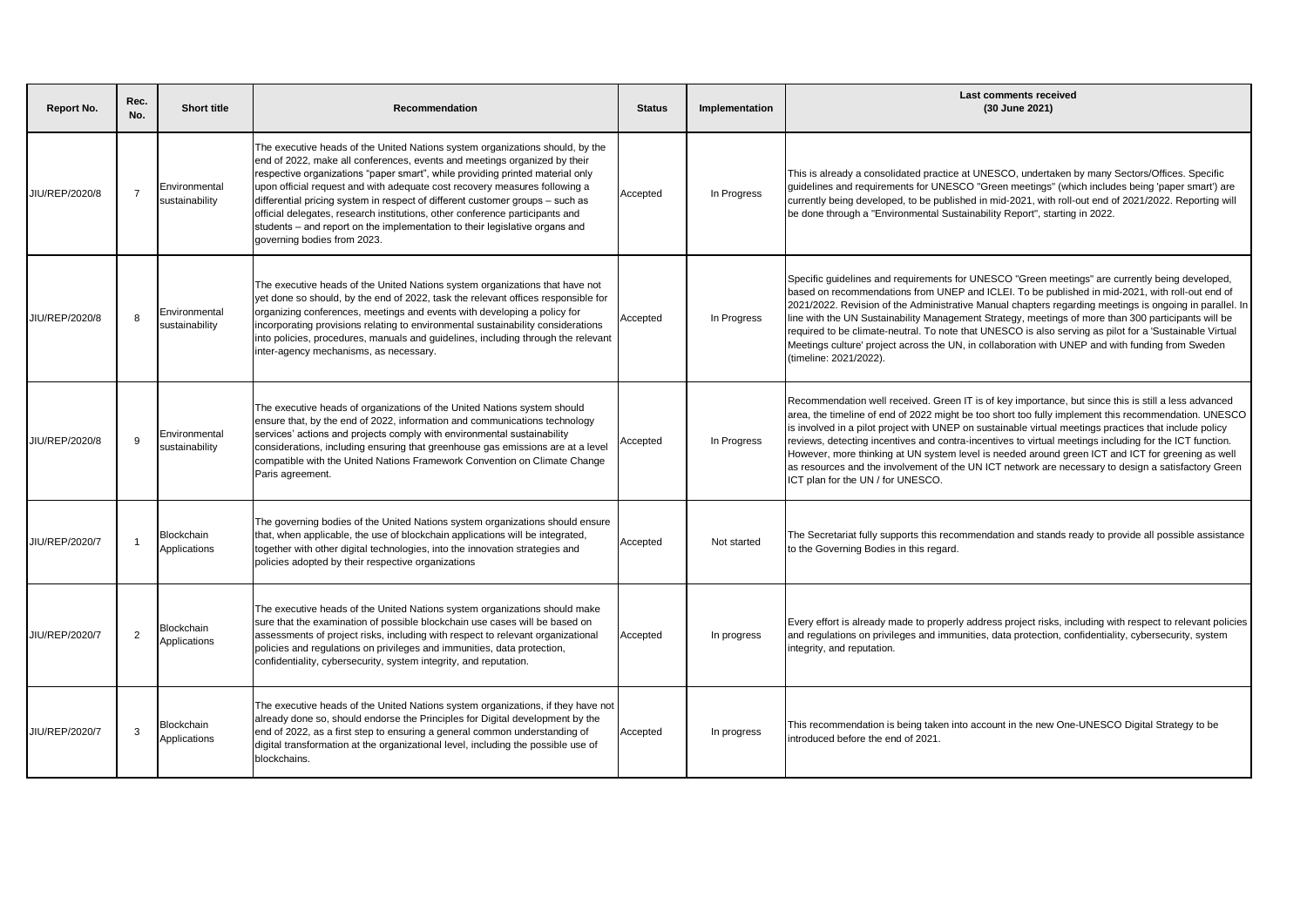| <b>Report No.</b> | Rec.<br>No.    | <b>Short title</b>              | <b>Recommendation</b>                                                                                                                                                                                                                                                                                                                                                                                                                                                                                                                                                                                    | <b>Status</b> | Implementation | Last comments received<br>(30 June 2021)                                                                                                                                                                                                                                                                                                                                                                                                                                                                                                                                                                                                                                           |
|-------------------|----------------|---------------------------------|----------------------------------------------------------------------------------------------------------------------------------------------------------------------------------------------------------------------------------------------------------------------------------------------------------------------------------------------------------------------------------------------------------------------------------------------------------------------------------------------------------------------------------------------------------------------------------------------------------|---------------|----------------|------------------------------------------------------------------------------------------------------------------------------------------------------------------------------------------------------------------------------------------------------------------------------------------------------------------------------------------------------------------------------------------------------------------------------------------------------------------------------------------------------------------------------------------------------------------------------------------------------------------------------------------------------------------------------------|
| JIU/REP/2020/8    | $\overline{7}$ | Environmental<br>sustainability | The executive heads of the United Nations system organizations should, by the<br>end of 2022, make all conferences, events and meetings organized by their<br>respective organizations "paper smart", while providing printed material only<br>upon official request and with adequate cost recovery measures following a<br>differential pricing system in respect of different customer groups – such as<br>official delegates, research institutions, other conference participants and<br>students - and report on the implementation to their legislative organs and<br>governing bodies from 2023. | Accepted      | In Progress    | This is already a consolidated practice at UNESCO, undertaken by many Sectors/Offices. Specific<br>guidelines and requirements for UNESCO "Green meetings" (which includes being 'paper smart') are<br>currently being developed, to be published in mid-2021, with roll-out end of 2021/2022. Reporting will<br>be done through a "Environmental Sustainability Report", starting in 2022.                                                                                                                                                                                                                                                                                        |
| JIU/REP/2020/8    | -8             | Environmental<br>sustainability | The executive heads of the United Nations system organizations that have not<br>yet done so should, by the end of 2022, task the relevant offices responsible for<br>organizing conferences, meetings and events with developing a policy for<br>incorporating provisions relating to environmental sustainability considerations<br>into policies, procedures, manuals and guidelines, including through the relevant<br>inter-agency mechanisms, as necessary.                                                                                                                                         | Accepted      | In Progress    | Specific guidelines and requirements for UNESCO "Green meetings" are currently being developed,<br>based on recommendations from UNEP and ICLEI. To be published in mid-2021, with roll-out end of<br>2021/2022. Revision of the Administrative Manual chapters regarding meetings is ongoing in parallel. In<br>line with the UN Sustainability Management Strategy, meetings of more than 300 participants will be<br>required to be climate-neutral. To note that UNESCO is also serving as pilot for a 'Sustainable Virtual<br>Meetings culture' project across the UN, in collaboration with UNEP and with funding from Sweden<br>(timeline: 2021/2022).                      |
| JIU/REP/2020/8    | $\mathbf{q}$   | Environmental<br>sustainability | The executive heads of organizations of the United Nations system should<br>ensure that, by the end of 2022, information and communications technology<br>services' actions and projects comply with environmental sustainability<br>considerations, including ensuring that greenhouse gas emissions are at a level<br>compatible with the United Nations Framework Convention on Climate Change<br>Paris agreement.                                                                                                                                                                                    | Accepted      | In Progress    | Recommendation well received. Green IT is of key importance, but since this is still a less advanced<br>area, the timeline of end of 2022 might be too short too fully implement this recommendation. UNESCO<br>is involved in a pilot project with UNEP on sustainable virtual meetings practices that include policy<br>reviews, detecting incentives and contra-incentives to virtual meetings including for the ICT function.<br>However, more thinking at UN system level is needed around green ICT and ICT for greening as well<br>as resources and the involvement of the UN ICT network are necessary to design a satisfactory Green<br>ICT plan for the UN / for UNESCO. |
| JIU/REP/2020/7    | $\overline{1}$ | Blockchain<br>Applications      | The governing bodies of the United Nations system organizations should ensure<br>that, when applicable, the use of blockchain applications will be integrated,<br>together with other digital technologies, into the innovation strategies and<br>policies adopted by their respective organizations                                                                                                                                                                                                                                                                                                     | Accepted      | Not started    | The Secretariat fully supports this recommendation and stands ready to provide all possible assistance<br>to the Governing Bodies in this regard.                                                                                                                                                                                                                                                                                                                                                                                                                                                                                                                                  |
| JIU/REP/2020/7    | $\overline{2}$ | Blockchain<br>Applications      | The executive heads of the United Nations system organizations should make<br>sure that the examination of possible blockchain use cases will be based on<br>assessments of project risks, including with respect to relevant organizational<br>policies and regulations on privileges and immunities, data protection,<br>confidentiality, cybersecurity, system integrity, and reputation.                                                                                                                                                                                                             | Accepted      | In progress    | Every effort is already made to properly address project risks, including with respect to relevant policies<br>and regulations on privileges and immunities, data protection, confidentiality, cybersecurity, system<br>integrity, and reputation.                                                                                                                                                                                                                                                                                                                                                                                                                                 |
| JIU/REP/2020/7    | 3              | Blockchain<br>Applications      | The executive heads of the United Nations system organizations, if they have not<br>already done so, should endorse the Principles for Digital development by the<br>end of 2022, as a first step to ensuring a general common understanding of<br>digital transformation at the organizational level, including the possible use of<br>blockchains.                                                                                                                                                                                                                                                     | Accepted      | In progress    | This recommendation is being taken into account in the new One-UNESCO Digital Strategy to be<br>introduced before the end of 2021.                                                                                                                                                                                                                                                                                                                                                                                                                                                                                                                                                 |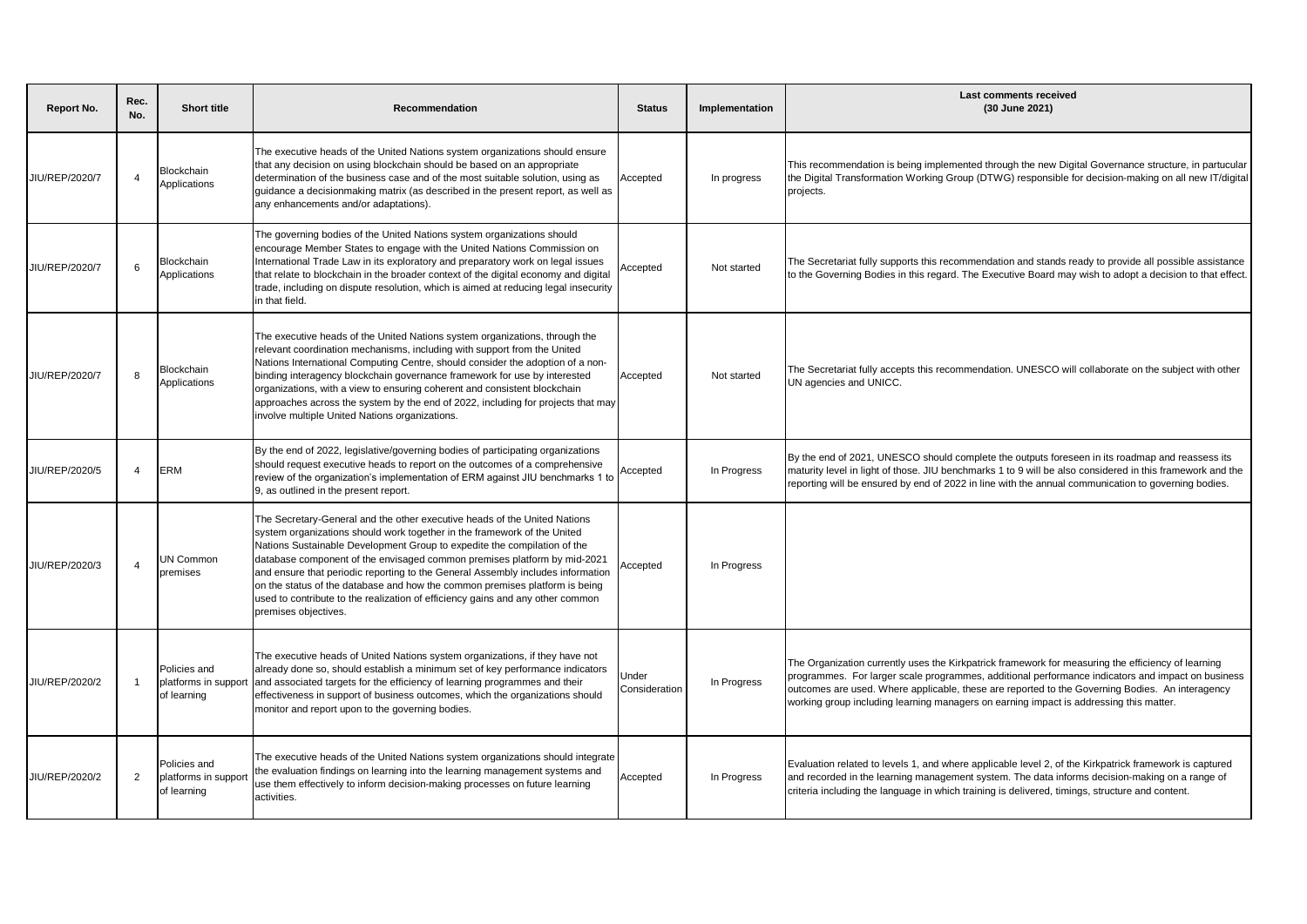| <b>Report No.</b> | Rec.<br>No.    | <b>Short title</b>                                 | Recommendation                                                                                                                                                                                                                                                                                                                                                                                                                                                                                                                                                                            | <b>Status</b>          | Implementation | <b>Last comments received</b><br>(30 June 2021)                                                                                                                                                                                                                                                                                                                                                      |
|-------------------|----------------|----------------------------------------------------|-------------------------------------------------------------------------------------------------------------------------------------------------------------------------------------------------------------------------------------------------------------------------------------------------------------------------------------------------------------------------------------------------------------------------------------------------------------------------------------------------------------------------------------------------------------------------------------------|------------------------|----------------|------------------------------------------------------------------------------------------------------------------------------------------------------------------------------------------------------------------------------------------------------------------------------------------------------------------------------------------------------------------------------------------------------|
| JIU/REP/2020/7    | $\overline{4}$ | Blockchain<br>Applications                         | The executive heads of the United Nations system organizations should ensure<br>that any decision on using blockchain should be based on an appropriate<br>determination of the business case and of the most suitable solution, using as<br>guidance a decisionmaking matrix (as described in the present report, as well as<br>any enhancements and/or adaptations).                                                                                                                                                                                                                    | Accepted               | In progress    | This recommendation is being implemented through the new Digital Governance structure, in partucular<br>the Digital Transformation Working Group (DTWG) responsible for decision-making on all new IT/digital<br>projects.                                                                                                                                                                           |
| JIU/REP/2020/7    | 6              | Blockchain<br>Applications                         | The governing bodies of the United Nations system organizations should<br>encourage Member States to engage with the United Nations Commission on<br>International Trade Law in its exploratory and preparatory work on legal issues<br>that relate to blockchain in the broader context of the digital economy and digital<br>trade, including on dispute resolution, which is aimed at reducing legal insecurity<br>in that field.                                                                                                                                                      | Accepted               | Not started    | The Secretariat fully supports this recommendation and stands ready to provide all possible assistance<br>to the Governing Bodies in this regard. The Executive Board may wish to adopt a decision to that effect.                                                                                                                                                                                   |
| JIU/REP/2020/7    | 8              | Blockchain<br>Applications                         | The executive heads of the United Nations system organizations, through the<br>relevant coordination mechanisms, including with support from the United<br>Nations International Computing Centre, should consider the adoption of a non-<br>binding interagency blockchain governance framework for use by interested<br>organizations, with a view to ensuring coherent and consistent blockchain<br>approaches across the system by the end of 2022, including for projects that may<br>involve multiple United Nations organizations.                                                 | Accepted               | Not started    | The Secretariat fully accepts this recommendation. UNESCO will collaborate on the subject with other<br>UN agencies and UNICC.                                                                                                                                                                                                                                                                       |
| JIU/REP/2020/5    | $\overline{4}$ | <b>ERM</b>                                         | By the end of 2022, legislative/governing bodies of participating organizations<br>should request executive heads to report on the outcomes of a comprehensive<br>review of the organization's implementation of ERM against JIU benchmarks 1 to<br>9, as outlined in the present report.                                                                                                                                                                                                                                                                                                 | Accepted               | In Progress    | By the end of 2021, UNESCO should complete the outputs foreseen in its roadmap and reassess its<br>maturity level in light of those. JIU benchmarks 1 to 9 will be also considered in this framework and the<br>reporting will be ensured by end of 2022 in line with the annual communication to governing bodies.                                                                                  |
| JIU/REP/2020/3    | $\overline{4}$ | UN Common<br>premises                              | The Secretary-General and the other executive heads of the United Nations<br>system organizations should work together in the framework of the United<br>Nations Sustainable Development Group to expedite the compilation of the<br>database component of the envisaged common premises platform by mid-2021<br>and ensure that periodic reporting to the General Assembly includes information<br>on the status of the database and how the common premises platform is being<br>used to contribute to the realization of efficiency gains and any other common<br>premises objectives. | Accepted               | In Progress    |                                                                                                                                                                                                                                                                                                                                                                                                      |
| JIU/REP/2020/2    | -1             | Policies and<br>platforms in suppor<br>of learning | The executive heads of United Nations system organizations, if they have not<br>already done so, should establish a minimum set of key performance indicators<br>and associated targets for the efficiency of learning programmes and their<br>effectiveness in support of business outcomes, which the organizations should<br>monitor and report upon to the governing bodies.                                                                                                                                                                                                          | Jnder<br>Consideration | In Progress    | The Organization currently uses the Kirkpatrick framework for measuring the efficiency of learning<br>programmes. For larger scale programmes, additional performance indicators and impact on business<br>outcomes are used. Where applicable, these are reported to the Governing Bodies. An interagency<br>working group including learning managers on earning impact is addressing this matter. |
| JIU/REP/2020/2    | $\overline{2}$ | Policies and<br>platforms in suppor<br>of learning | The executive heads of the United Nations system organizations should integrate<br>the evaluation findings on learning into the learning management systems and<br>use them effectively to inform decision-making processes on future learning<br>activities.                                                                                                                                                                                                                                                                                                                             | Accepted               | In Progress    | Evaluation related to levels 1, and where applicable level 2, of the Kirkpatrick framework is captured<br>and recorded in the learning management system. The data informs decision-making on a range of<br>criteria including the language in which training is delivered, timings, structure and content.                                                                                          |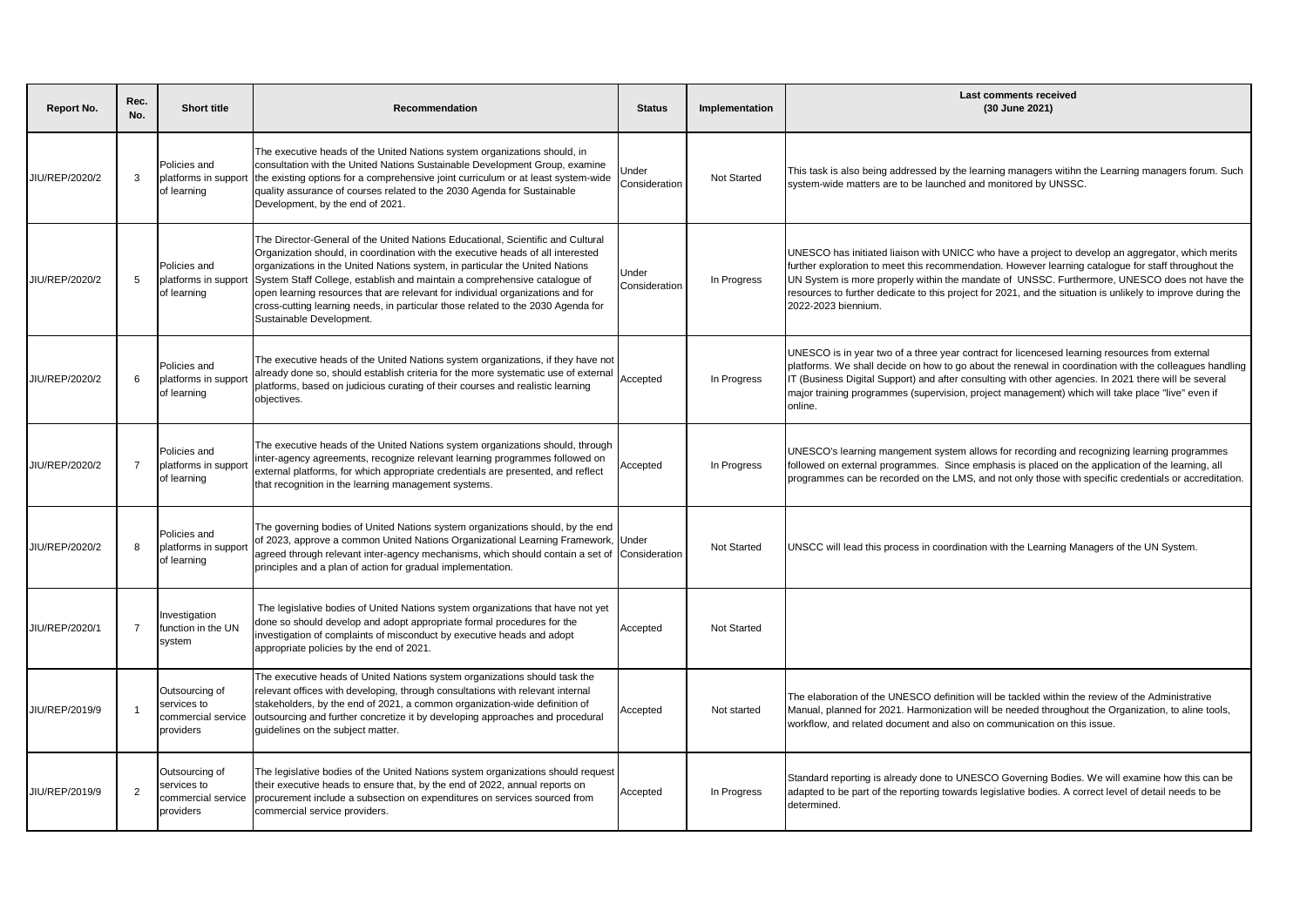| <b>Report No.</b> | Rec.<br>No.    | <b>Short title</b>                                               | Recommendation                                                                                                                                                                                                                                                                                                                                                                                                                                                                                                                    | <b>Status</b>          | Implementation | Last comments received<br>(30 June 2021)                                                                                                                                                                                                                                                                                                                                                                                                         |
|-------------------|----------------|------------------------------------------------------------------|-----------------------------------------------------------------------------------------------------------------------------------------------------------------------------------------------------------------------------------------------------------------------------------------------------------------------------------------------------------------------------------------------------------------------------------------------------------------------------------------------------------------------------------|------------------------|----------------|--------------------------------------------------------------------------------------------------------------------------------------------------------------------------------------------------------------------------------------------------------------------------------------------------------------------------------------------------------------------------------------------------------------------------------------------------|
| JIU/REP/2020/2    | 3              | Policies and<br>platforms in suppor<br>of learning               | The executive heads of the United Nations system organizations should, in<br>consultation with the United Nations Sustainable Development Group, examine<br>the existing options for a comprehensive joint curriculum or at least system-wide<br>quality assurance of courses related to the 2030 Agenda for Sustainable<br>Development, by the end of 2021.                                                                                                                                                                      | Jnder<br>Consideration | Not Started    | This task is also being addressed by the learning managers witihn the Learning managers forum. Such<br>system-wide matters are to be launched and monitored by UNSSC.                                                                                                                                                                                                                                                                            |
| JIU/REP/2020/2    | 5              | Policies and<br>platforms in suppor<br>of learning               | The Director-General of the United Nations Educational, Scientific and Cultural<br>Organization should, in coordination with the executive heads of all interested<br>organizations in the United Nations system, in particular the United Nations<br>System Staff College, establish and maintain a comprehensive catalogue of<br>open learning resources that are relevant for individual organizations and for<br>cross-cutting learning needs, in particular those related to the 2030 Agenda for<br>Sustainable Development. | Jnder<br>Consideration | In Progress    | UNESCO has initiated liaison with UNICC who have a project to develop an aggregator, which merits<br>further exploration to meet this recommendation. However learning catalogue for staff throughout the<br>UN System is more properly within the mandate of UNSSC. Furthermore, UNESCO does not have the<br>resources to further dedicate to this project for 2021, and the situation is unlikely to improve during the<br>2022-2023 biennium. |
| JIU/REP/2020/2    | 6              | Policies and<br>platforms in suppo<br>of learning                | The executive heads of the United Nations system organizations, if they have not<br>already done so, should establish criteria for the more systematic use of external<br>platforms, based on judicious curating of their courses and realistic learning<br>objectives.                                                                                                                                                                                                                                                           | Accepted               | In Progress    | UNESCO is in year two of a three year contract for licencesed learning resources from external<br>platforms. We shall decide on how to go about the renewal in coordination with the colleagues handling<br>IT (Business Digital Support) and after consulting with other agencies. In 2021 there will be several<br>major training programmes (supervision, project management) which will take place "live" even if<br>online.                 |
| JIU/REP/2020/2    | $\overline{7}$ | Policies and<br>platforms in suppor<br>of learning               | The executive heads of the United Nations system organizations should, through<br>inter-agency agreements, recognize relevant learning programmes followed on<br>external platforms, for which appropriate credentials are presented, and reflect<br>that recognition in the learning management systems.                                                                                                                                                                                                                         | Accepted               | In Progress    | UNESCO's learning mangement system allows for recording and recognizing learning programmes<br>followed on external programmes. Since emphasis is placed on the application of the learning, all<br>programmes can be recorded on the LMS, and not only those with specific credentials or accreditation.                                                                                                                                        |
| JIU/REP/2020/2    | 8              | Policies and<br>platforms in suppo<br>of learning                | The governing bodies of United Nations system organizations should, by the end<br>of 2023, approve a common United Nations Organizational Learning Framework,<br>agreed through relevant inter-agency mechanisms, which should contain a set of<br>principles and a plan of action for gradual implementation.                                                                                                                                                                                                                    | Under<br>Consideration | Not Started    | UNSCC will lead this process in coordination with the Learning Managers of the UN System.                                                                                                                                                                                                                                                                                                                                                        |
| JIU/REP/2020/1    | $\overline{7}$ | Investigation<br>function in the UN<br>system                    | The legislative bodies of United Nations system organizations that have not yet<br>done so should develop and adopt appropriate formal procedures for the<br>investigation of complaints of misconduct by executive heads and adopt<br>appropriate policies by the end of 2021.                                                                                                                                                                                                                                                   | Accepted               | Not Started    |                                                                                                                                                                                                                                                                                                                                                                                                                                                  |
| JIU/REP/2019/9    |                | Outsourcing of<br>services to<br>commercial service<br>providers | The executive heads of United Nations system organizations should task the<br>relevant offices with developing, through consultations with relevant internal<br>stakeholders, by the end of 2021, a common organization-wide definition of<br>outsourcing and further concretize it by developing approaches and procedural<br>quidelines on the subject matter.                                                                                                                                                                  | Accepted               | Not started    | The elaboration of the UNESCO definition will be tackled within the review of the Administrative<br>Manual, planned for 2021. Harmonization will be needed throughout the Organization, to aline tools,<br>workflow, and related document and also on communication on this issue.                                                                                                                                                               |
| JIU/REP/2019/9    | 2              | Outsourcing of<br>services to<br>commercial service<br>providers | The legislative bodies of the United Nations system organizations should request<br>their executive heads to ensure that, by the end of 2022, annual reports on<br>procurement include a subsection on expenditures on services sourced from<br>commercial service providers.                                                                                                                                                                                                                                                     | Accepted               | In Progress    | Standard reporting is already done to UNESCO Governing Bodies. We will examine how this can be<br>adapted to be part of the reporting towards legislative bodies. A correct level of detail needs to be<br>determined.                                                                                                                                                                                                                           |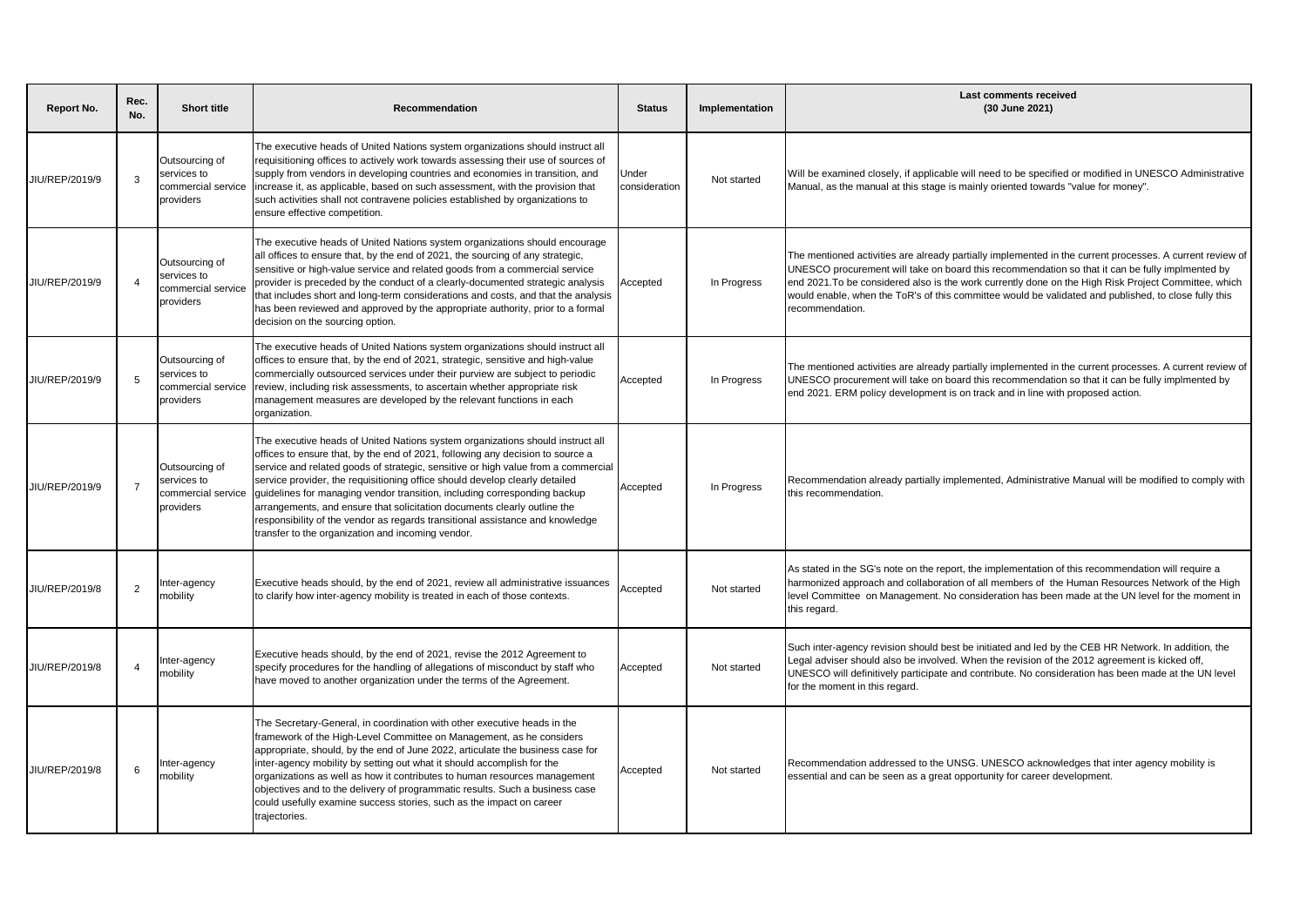| <b>Report No.</b> | Rec.<br>No.            | <b>Short title</b>                                               | Recommendation                                                                                                                                                                                                                                                                                                                                                                                                                                                                                                                                                                                                                      | <b>Status</b>          | Implementation | Last comments received<br>(30 June 2021)                                                                                                                                                                                                                                                                                                                                                                                                       |
|-------------------|------------------------|------------------------------------------------------------------|-------------------------------------------------------------------------------------------------------------------------------------------------------------------------------------------------------------------------------------------------------------------------------------------------------------------------------------------------------------------------------------------------------------------------------------------------------------------------------------------------------------------------------------------------------------------------------------------------------------------------------------|------------------------|----------------|------------------------------------------------------------------------------------------------------------------------------------------------------------------------------------------------------------------------------------------------------------------------------------------------------------------------------------------------------------------------------------------------------------------------------------------------|
| JIU/REP/2019/9    | -3                     | Outsourcing of<br>services to<br>commercial service<br>providers | The executive heads of United Nations system organizations should instruct all<br>requisitioning offices to actively work towards assessing their use of sources of<br>supply from vendors in developing countries and economies in transition, and<br>increase it, as applicable, based on such assessment, with the provision that<br>such activities shall not contravene policies established by organizations to<br>ensure effective competition.                                                                                                                                                                              | Under<br>consideration | Not started    | Will be examined closely, if applicable will need to be specified or modified in UNESCO Administrative<br>Manual, as the manual at this stage is mainly oriented towards "value for money".                                                                                                                                                                                                                                                    |
| JIU/REP/2019/9    | $\boldsymbol{\Lambda}$ | Outsourcing of<br>services to<br>commercial service<br>providers | The executive heads of United Nations system organizations should encourage<br>all offices to ensure that, by the end of 2021, the sourcing of any strategic,<br>sensitive or high-value service and related goods from a commercial service<br>provider is preceded by the conduct of a clearly-documented strategic analysis<br>that includes short and long-term considerations and costs, and that the analysis<br>has been reviewed and approved by the appropriate authority, prior to a formal<br>decision on the sourcing option.                                                                                           | Accepted               | In Progress    | The mentioned activities are already partially implemented in the current processes. A current review of<br>UNESCO procurement will take on board this recommendation so that it can be fully implmented by<br>end 2021. To be considered also is the work currently done on the High Risk Project Committee, which<br>would enable, when the ToR's of this committee would be validated and published, to close fully this<br>recommendation. |
| JIU/REP/2019/9    | -5                     | Outsourcing of<br>services to<br>commercial service<br>providers | The executive heads of United Nations system organizations should instruct all<br>offices to ensure that, by the end of 2021, strategic, sensitive and high-value<br>commercially outsourced services under their purview are subject to periodic<br>review, including risk assessments, to ascertain whether appropriate risk<br>management measures are developed by the relevant functions in each<br>organization.                                                                                                                                                                                                              | Accepted               | In Progress    | The mentioned activities are already partially implemented in the current processes. A current review of<br>UNESCO procurement will take on board this recommendation so that it can be fully implmented by<br>end 2021. ERM policy development is on track and in line with proposed action.                                                                                                                                                  |
| JIU/REP/2019/9    | $\overline{7}$         | Outsourcing of<br>services to<br>commercial service<br>providers | The executive heads of United Nations system organizations should instruct all<br>offices to ensure that, by the end of 2021, following any decision to source a<br>service and related goods of strategic, sensitive or high value from a commercial<br>service provider, the requisitioning office should develop clearly detailed<br>guidelines for managing vendor transition, including corresponding backup<br>arrangements, and ensure that solicitation documents clearly outline the<br>responsibility of the vendor as regards transitional assistance and knowledge<br>transfer to the organization and incoming vendor. | Accepted               | In Progress    | Recommendation already partially implemented, Administrative Manual will be modified to comply with<br>this recommendation.                                                                                                                                                                                                                                                                                                                    |
| JIU/REP/2019/8    | $\overline{2}$         | nter-agency<br>mobility                                          | Executive heads should, by the end of 2021, review all administrative issuances<br>to clarify how inter-agency mobility is treated in each of those contexts.                                                                                                                                                                                                                                                                                                                                                                                                                                                                       | Accepted               | Not started    | As stated in the SG's note on the report, the implementation of this recommendation will require a<br>harmonized approach and collaboration of all members of the Human Resources Network of the High<br>level Committee on Management. No consideration has been made at the UN level for the moment in<br>this regard.                                                                                                                       |
| JIU/REP/2019/8    | $\overline{4}$         | nter-agency<br>nobility                                          | Executive heads should, by the end of 2021, revise the 2012 Agreement to<br>specify procedures for the handling of allegations of misconduct by staff who<br>have moved to another organization under the terms of the Agreement.                                                                                                                                                                                                                                                                                                                                                                                                   | Accepted               | Not started    | Such inter-agency revision should best be initiated and led by the CEB HR Network. In addition, the<br>Legal adviser should also be involved. When the revision of the 2012 agreement is kicked off,<br>UNESCO will definitively participate and contribute. No consideration has been made at the UN level<br>for the moment in this regard.                                                                                                  |
| JIU/REP/2019/8    | 6                      | nter-agency<br>mobility                                          | The Secretary-General, in coordination with other executive heads in the<br>framework of the High-Level Committee on Management, as he considers<br>appropriate, should, by the end of June 2022, articulate the business case for<br>inter-agency mobility by setting out what it should accomplish for the<br>organizations as well as how it contributes to human resources management<br>objectives and to the delivery of programmatic results. Such a business case<br>could usefully examine success stories, such as the impact on career<br>trajectories.                                                                  | Accepted               | Not started    | Recommendation addressed to the UNSG. UNESCO acknowledges that inter agency mobility is<br>essential and can be seen as a great opportunity for career development.                                                                                                                                                                                                                                                                            |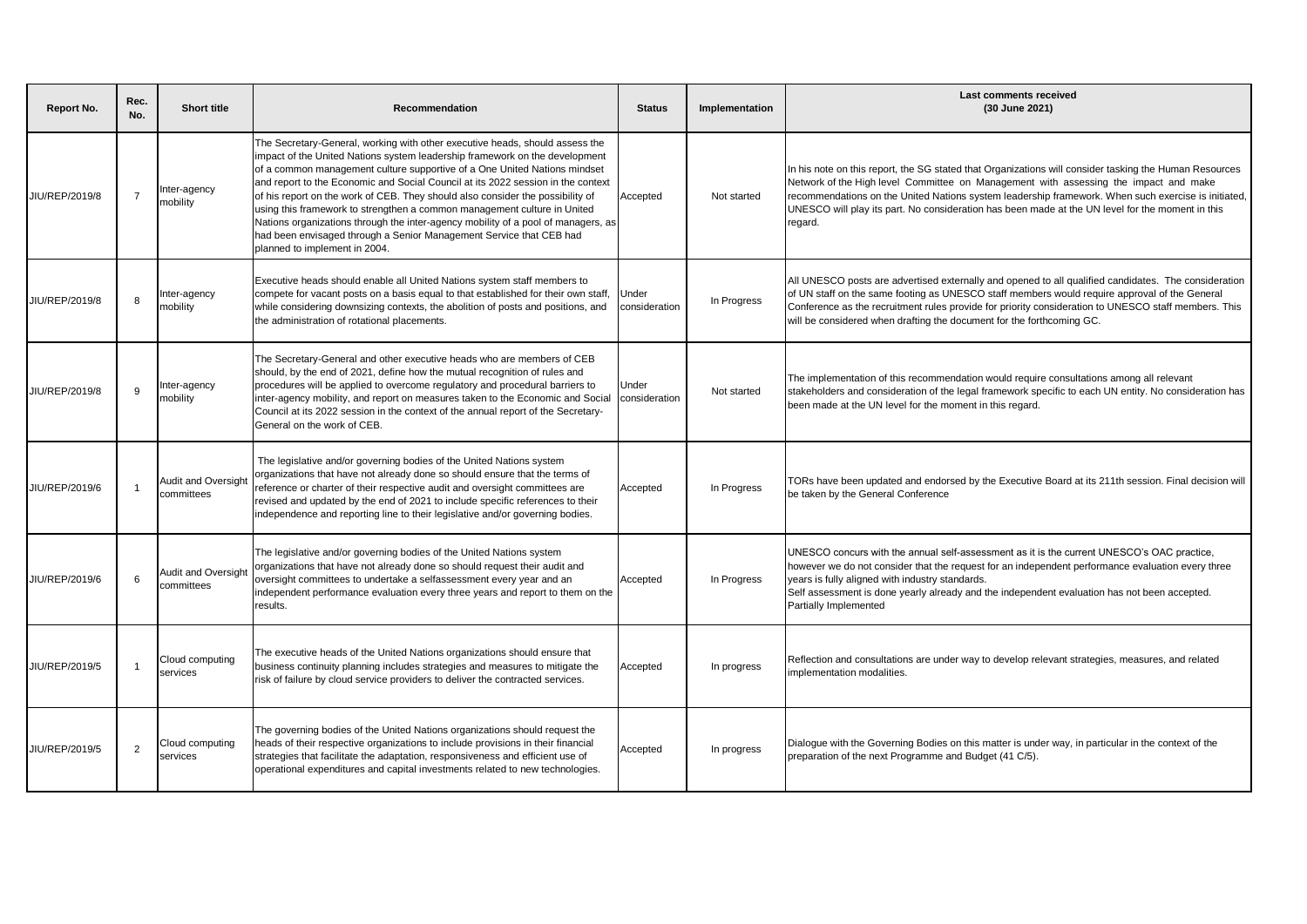| Report No.     | Rec.<br>No.    | <b>Short title</b>                       | Recommendation                                                                                                                                                                                                                                                                                                                                                                                                                                                                                                                                                                                                                                                                          | <b>Status</b>          | Implementation | <b>Last comments received</b><br>(30 June 2021)                                                                                                                                                                                                                                                                                                                                                                     |
|----------------|----------------|------------------------------------------|-----------------------------------------------------------------------------------------------------------------------------------------------------------------------------------------------------------------------------------------------------------------------------------------------------------------------------------------------------------------------------------------------------------------------------------------------------------------------------------------------------------------------------------------------------------------------------------------------------------------------------------------------------------------------------------------|------------------------|----------------|---------------------------------------------------------------------------------------------------------------------------------------------------------------------------------------------------------------------------------------------------------------------------------------------------------------------------------------------------------------------------------------------------------------------|
| JIU/REP/2019/8 | $\overline{7}$ | Inter-agency<br>mobility                 | The Secretary-General, working with other executive heads, should assess the<br>impact of the United Nations system leadership framework on the development<br>of a common management culture supportive of a One United Nations mindset<br>and report to the Economic and Social Council at its 2022 session in the context<br>of his report on the work of CEB. They should also consider the possibility of<br>using this framework to strengthen a common management culture in United<br>Nations organizations through the inter-agency mobility of a pool of managers, as<br>had been envisaged through a Senior Management Service that CEB had<br>planned to implement in 2004. | Accepted               | Not started    | In his note on this report, the SG stated that Organizations will consider tasking the Human Resources<br>Network of the High level Committee on Management with assessing the impact and make<br>ecommendations on the United Nations system leadership framework. When such exercise is initiated,<br>UNESCO will play its part. No consideration has been made at the UN level for the moment in this<br>regard. |
| JIU/REP/2019/8 | 8              | Inter-agency<br>mobility                 | Executive heads should enable all United Nations system staff members to<br>compete for vacant posts on a basis equal to that established for their own staff.<br>while considering downsizing contexts, the abolition of posts and positions, and<br>the administration of rotational placements.                                                                                                                                                                                                                                                                                                                                                                                      | Under<br>consideration | In Progress    | All UNESCO posts are advertised externally and opened to all qualified candidates. The consideration<br>of UN staff on the same footing as UNESCO staff members would require approval of the General<br>Conference as the recruitment rules provide for priority consideration to UNESCO staff members. This<br>will be considered when drafting the document for the forthcoming GC.                              |
| JIU/REP/2019/8 | 9              | Inter-agency<br>mobility                 | The Secretary-General and other executive heads who are members of CEB<br>should, by the end of 2021, define how the mutual recognition of rules and<br>procedures will be applied to overcome regulatory and procedural barriers to<br>inter-agency mobility, and report on measures taken to the Economic and Social<br>Council at its 2022 session in the context of the annual report of the Secretary-<br>General on the work of CEB.                                                                                                                                                                                                                                              | Under<br>consideration | Not started    | The implementation of this recommendation would require consultations among all relevant<br>stakeholders and consideration of the legal framework specific to each UN entity. No consideration has<br>been made at the UN level for the moment in this regard.                                                                                                                                                      |
| JIU/REP/2019/6 | $\overline{1}$ | <b>Audit and Oversight</b><br>committees | The legislative and/or governing bodies of the United Nations system<br>organizations that have not already done so should ensure that the terms of<br>reference or charter of their respective audit and oversight committees are<br>revised and updated by the end of 2021 to include specific references to their<br>independence and reporting line to their legislative and/or governing bodies.                                                                                                                                                                                                                                                                                   | Accepted               | In Progress    | TORs have been updated and endorsed by the Executive Board at its 211th session. Final decision will<br>be taken by the General Conference                                                                                                                                                                                                                                                                          |
| JIU/REP/2019/6 | 6              | Audit and Oversight<br>committees        | The legislative and/or governing bodies of the United Nations system<br>organizations that have not already done so should request their audit and<br>oversight committees to undertake a selfassessment every year and an<br>independent performance evaluation every three years and report to them on the<br>results.                                                                                                                                                                                                                                                                                                                                                                | Accepted               | In Progress    | UNESCO concurs with the annual self-assessment as it is the current UNESCO's OAC practice,<br>however we do not consider that the request for an independent performance evaluation every three<br>years is fully aligned with industry standards.<br>Self assessment is done yearly already and the independent evaluation has not been accepted.<br>Partially Implemented                                         |
| JIU/REP/2019/5 | $\overline{1}$ | Cloud computing<br>services              | The executive heads of the United Nations organizations should ensure that<br>business continuity planning includes strategies and measures to mitigate the<br>risk of failure by cloud service providers to deliver the contracted services.                                                                                                                                                                                                                                                                                                                                                                                                                                           | Accepted               | In progress    | Reflection and consultations are under way to develop relevant strategies, measures, and related<br>mplementation modalities.                                                                                                                                                                                                                                                                                       |
| JIU/REP/2019/5 | $\overline{2}$ | Cloud computing<br>services              | The governing bodies of the United Nations organizations should request the<br>heads of their respective organizations to include provisions in their financial<br>strategies that facilitate the adaptation, responsiveness and efficient use of<br>operational expenditures and capital investments related to new technologies.                                                                                                                                                                                                                                                                                                                                                      | Accepted               | In progress    | Dialogue with the Governing Bodies on this matter is under way, in particular in the context of the<br>preparation of the next Programme and Budget (41 C/5).                                                                                                                                                                                                                                                       |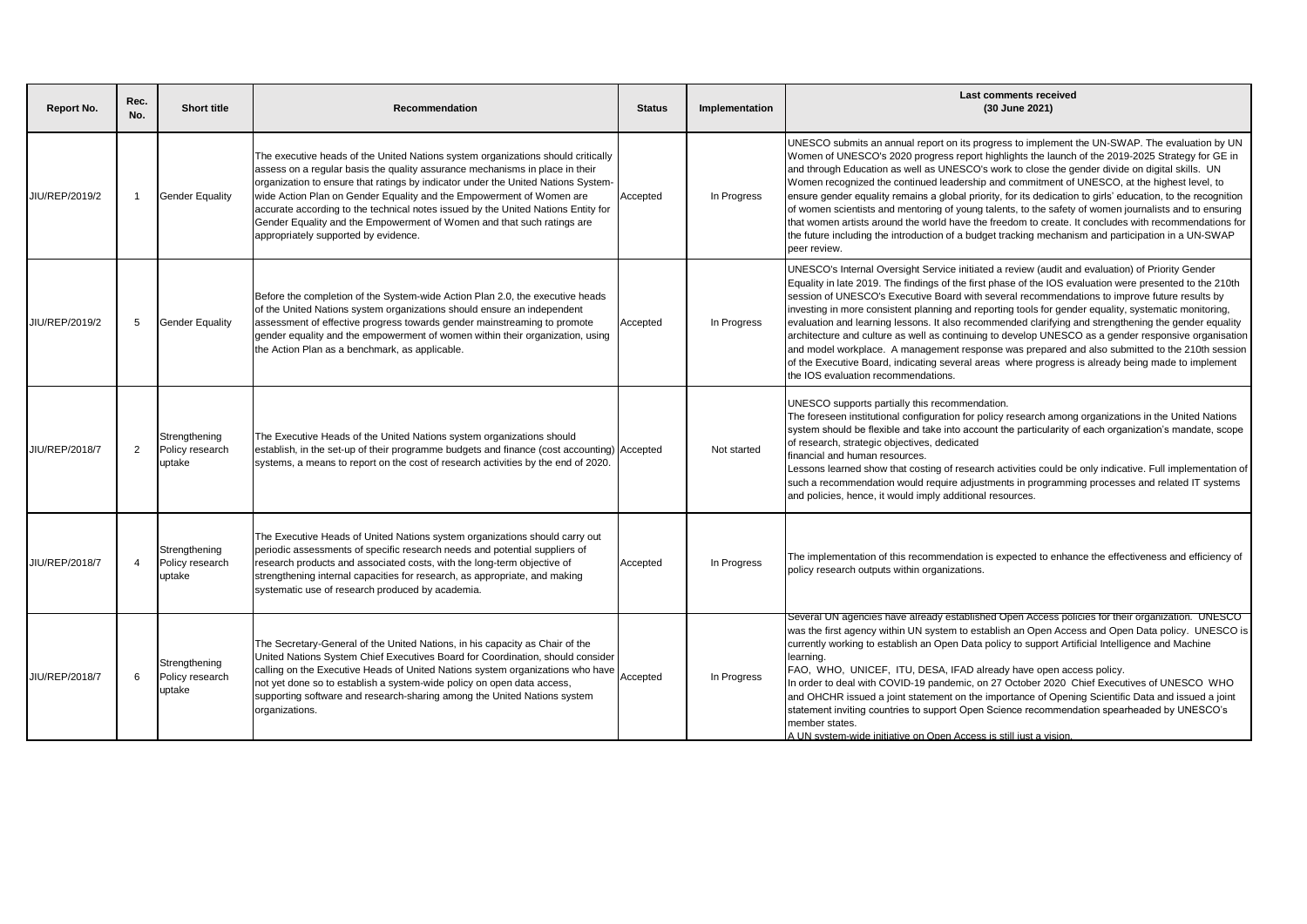| Report No.     | Rec.<br>No.    | <b>Short title</b>                         | Recommendation                                                                                                                                                                                                                                                                                                                                                                                                                                                                                                                       | <b>Status</b> | Implementation | <b>Last comments received</b><br>(30 June 2021)                                                                                                                                                                                                                                                                                                                                                                                                                                                                                                                                                                                                                                                                                                                                                                                                                                         |
|----------------|----------------|--------------------------------------------|--------------------------------------------------------------------------------------------------------------------------------------------------------------------------------------------------------------------------------------------------------------------------------------------------------------------------------------------------------------------------------------------------------------------------------------------------------------------------------------------------------------------------------------|---------------|----------------|-----------------------------------------------------------------------------------------------------------------------------------------------------------------------------------------------------------------------------------------------------------------------------------------------------------------------------------------------------------------------------------------------------------------------------------------------------------------------------------------------------------------------------------------------------------------------------------------------------------------------------------------------------------------------------------------------------------------------------------------------------------------------------------------------------------------------------------------------------------------------------------------|
| JIU/REP/2019/2 | -1             | <b>Gender Equality</b>                     | The executive heads of the United Nations system organizations should critically<br>assess on a regular basis the quality assurance mechanisms in place in their<br>organization to ensure that ratings by indicator under the United Nations System-<br>wide Action Plan on Gender Equality and the Empowerment of Women are<br>accurate according to the technical notes issued by the United Nations Entity for<br>Gender Equality and the Empowerment of Women and that such ratings are<br>appropriately supported by evidence. | Accepted      | In Progress    | UNESCO submits an annual report on its progress to implement the UN-SWAP. The evaluation by UN<br>Women of UNESCO's 2020 progress report highlights the launch of the 2019-2025 Strategy for GE in<br>and through Education as well as UNESCO's work to close the gender divide on digital skills. UN<br>Women recognized the continued leadership and commitment of UNESCO, at the highest level, to<br>ensure gender equality remains a global priority, for its dedication to girls' education, to the recognition<br>of women scientists and mentoring of young talents, to the safety of women journalists and to ensuring<br>that women artists around the world have the freedom to create. It concludes with recommendations for<br>the future including the introduction of a budget tracking mechanism and participation in a UN-SWAP<br>peer review.                         |
| JIU/REP/2019/2 | -5             | <b>Gender Equality</b>                     | Before the completion of the System-wide Action Plan 2.0, the executive heads<br>of the United Nations system organizations should ensure an independent<br>assessment of effective progress towards gender mainstreaming to promote<br>gender equality and the empowerment of women within their organization, using<br>the Action Plan as a benchmark, as applicable.                                                                                                                                                              | Accepted      | In Progress    | UNESCO's Internal Oversight Service initiated a review (audit and evaluation) of Priority Gender<br>Equality in late 2019. The findings of the first phase of the IOS evaluation were presented to the 210th<br>session of UNESCO's Executive Board with several recommendations to improve future results by<br>investing in more consistent planning and reporting tools for gender equality, systematic monitoring,<br>evaluation and learning lessons. It also recommended clarifying and strengthening the gender equality<br>architecture and culture as well as continuing to develop UNESCO as a gender responsive organisation<br>and model workplace. A management response was prepared and also submitted to the 210th session<br>of the Executive Board, indicating several areas where progress is already being made to implement<br>the IOS evaluation recommendations. |
| JIU/REP/2018/7 | $\overline{2}$ | Strengthening<br>Policy research<br>uptake | The Executive Heads of the United Nations system organizations should<br>establish, in the set-up of their programme budgets and finance (cost accounting) Accepted<br>systems, a means to report on the cost of research activities by the end of 2020.                                                                                                                                                                                                                                                                             |               | Not started    | UNESCO supports partially this recommendation.<br>The foreseen institutional configuration for policy research among organizations in the United Nations<br>system should be flexible and take into account the particularity of each organization's mandate, scope<br>of research, strategic objectives, dedicated<br>financial and human resources.<br>Lessons learned show that costing of research activities could be only indicative. Full implementation of<br>such a recommendation would require adjustments in programming processes and related IT systems<br>and policies, hence, it would imply additional resources.                                                                                                                                                                                                                                                      |
| JIU/REP/2018/7 | $\overline{4}$ | Strengthening<br>Policy research<br>uptake | The Executive Heads of United Nations system organizations should carry out<br>periodic assessments of specific research needs and potential suppliers of<br>research products and associated costs, with the long-term objective of<br>strengthening internal capacities for research, as appropriate, and making<br>systematic use of research produced by academia.                                                                                                                                                               | Accepted      | In Progress    | The implementation of this recommendation is expected to enhance the effectiveness and efficiency of<br>policy research outputs within organizations.                                                                                                                                                                                                                                                                                                                                                                                                                                                                                                                                                                                                                                                                                                                                   |
| JIU/REP/2018/7 | 6              | Strengthening<br>Policy research<br>uptake | The Secretary-General of the United Nations, in his capacity as Chair of the<br>United Nations System Chief Executives Board for Coordination, should consider<br>calling on the Executive Heads of United Nations system organizations who have<br>not yet done so to establish a system-wide policy on open data access,<br>supporting software and research-sharing among the United Nations system<br>organizations.                                                                                                             | Accepted      | In Progress    | Several UN agencies have already established Open Access policies for their organization. UNESCO<br>was the first agency within UN system to establish an Open Access and Open Data policy. UNESCO is<br>currently working to establish an Open Data policy to support Artificial Intelligence and Machine<br>learning.<br>FAO, WHO, UNICEF, ITU, DESA, IFAD already have open access policy.<br>In order to deal with COVID-19 pandemic, on 27 October 2020 Chief Executives of UNESCO WHO<br>and OHCHR issued a joint statement on the importance of Opening Scientific Data and issued a joint<br>statement inviting countries to support Open Science recommendation spearheaded by UNESCO's<br>member states.<br>A UN system-wide initiative on Open Access is still iust a vision.                                                                                                |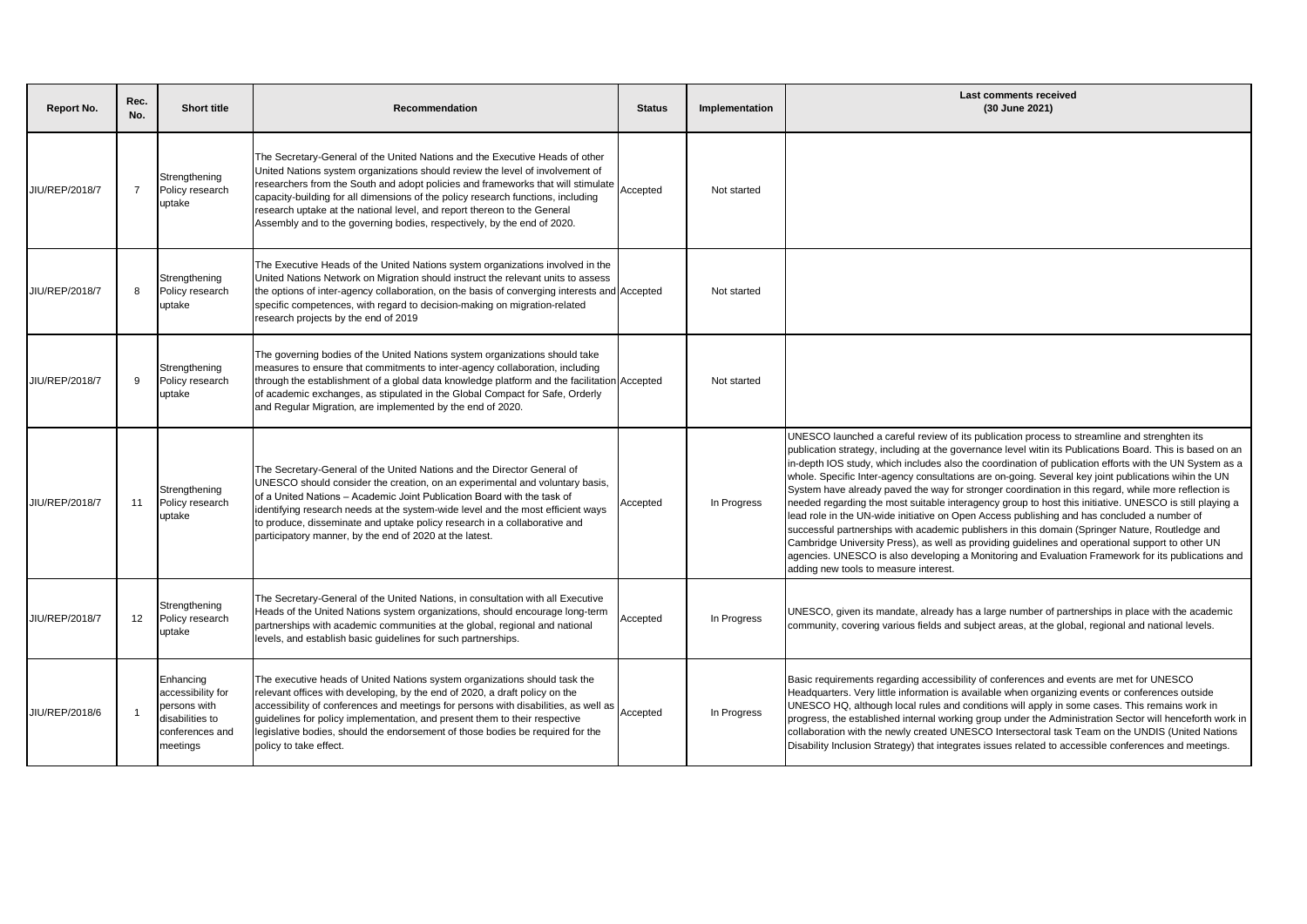| Report No.     | Rec.<br>No.    | <b>Short title</b>                                                                               | Recommendation                                                                                                                                                                                                                                                                                                                                                                                                                                                                               | <b>Status</b> | Implementation | <b>Last comments received</b><br>(30 June 2021)                                                                                                                                                                                                                                                                                                                                                                                                                                                                                                                                                                                                                                                                                                                                                                                                                                                                                                                                                                                                                                                      |
|----------------|----------------|--------------------------------------------------------------------------------------------------|----------------------------------------------------------------------------------------------------------------------------------------------------------------------------------------------------------------------------------------------------------------------------------------------------------------------------------------------------------------------------------------------------------------------------------------------------------------------------------------------|---------------|----------------|------------------------------------------------------------------------------------------------------------------------------------------------------------------------------------------------------------------------------------------------------------------------------------------------------------------------------------------------------------------------------------------------------------------------------------------------------------------------------------------------------------------------------------------------------------------------------------------------------------------------------------------------------------------------------------------------------------------------------------------------------------------------------------------------------------------------------------------------------------------------------------------------------------------------------------------------------------------------------------------------------------------------------------------------------------------------------------------------------|
| JIU/REP/2018/7 | $\overline{7}$ | Strengthening<br>Policy research<br>uptake                                                       | The Secretary-General of the United Nations and the Executive Heads of other<br>United Nations system organizations should review the level of involvement of<br>researchers from the South and adopt policies and frameworks that will stimulate<br>capacity-building for all dimensions of the policy research functions, including<br>research uptake at the national level, and report thereon to the General<br>Assembly and to the governing bodies, respectively, by the end of 2020. | Accepted      | Not started    |                                                                                                                                                                                                                                                                                                                                                                                                                                                                                                                                                                                                                                                                                                                                                                                                                                                                                                                                                                                                                                                                                                      |
| JIU/REP/2018/7 | 8              | Strengthening<br>Policy research<br>uptake                                                       | The Executive Heads of the United Nations system organizations involved in the<br>United Nations Network on Migration should instruct the relevant units to assess<br>the options of inter-agency collaboration, on the basis of converging interests and Accepted<br>specific competences, with regard to decision-making on migration-related<br>research projects by the end of 2019                                                                                                      |               | Not started    |                                                                                                                                                                                                                                                                                                                                                                                                                                                                                                                                                                                                                                                                                                                                                                                                                                                                                                                                                                                                                                                                                                      |
| JIU/REP/2018/7 | 9              | Strengthening<br>Policy research<br>uptake                                                       | The governing bodies of the United Nations system organizations should take<br>measures to ensure that commitments to inter-agency collaboration, including<br>through the establishment of a global data knowledge platform and the facilitation Accepted<br>of academic exchanges, as stipulated in the Global Compact for Safe, Orderly<br>and Regular Migration, are implemented by the end of 2020.                                                                                     |               | Not started    |                                                                                                                                                                                                                                                                                                                                                                                                                                                                                                                                                                                                                                                                                                                                                                                                                                                                                                                                                                                                                                                                                                      |
| JIU/REP/2018/7 | 11             | Strengthening<br>Policy research<br>uptake                                                       | The Secretary-General of the United Nations and the Director General of<br>UNESCO should consider the creation, on an experimental and voluntary basis,<br>of a United Nations – Academic Joint Publication Board with the task of<br>identifying research needs at the system-wide level and the most efficient ways<br>to produce, disseminate and uptake policy research in a collaborative and<br>participatory manner, by the end of 2020 at the latest.                                | Accepted      | In Progress    | UNESCO launched a careful review of its publication process to streamline and strenghten its<br>publication strategy, including at the governance level witin its Publications Board. This is based on an<br>in-depth IOS study, which includes also the coordination of publication efforts with the UN System as a<br>whole. Specific Inter-agency consultations are on-going. Several key joint publications wihin the UN<br>System have already paved the way for stronger coordination in this regard, while more reflection is<br>needed regarding the most suitable interagency group to host this initiative. UNESCO is still playing a<br>lead role in the UN-wide initiative on Open Access publishing and has concluded a number of<br>successful partnerships with academic publishers in this domain (Springer Nature, Routledge and<br>Cambridge University Press), as well as providing guidelines and operational support to other UN<br>agencies. UNESCO is also developing a Monitoring and Evaluation Framework for its publications and<br>adding new tools to measure interest. |
| JIU/REP/2018/7 | 12             | Strengthening<br>Policy research<br>uptake                                                       | The Secretary-General of the United Nations, in consultation with all Executive<br>Heads of the United Nations system organizations, should encourage long-term<br>partnerships with academic communities at the global, regional and national<br>levels, and establish basic guidelines for such partnerships.                                                                                                                                                                              | Accepted      | In Progress    | UNESCO, given its mandate, already has a large number of partnerships in place with the academic<br>community, covering various fields and subject areas, at the global, regional and national levels.                                                                                                                                                                                                                                                                                                                                                                                                                                                                                                                                                                                                                                                                                                                                                                                                                                                                                               |
| JIU/REP/2018/6 |                | Enhancing<br>accessibility for<br>persons with<br>disabilities to<br>conferences and<br>meetings | The executive heads of United Nations system organizations should task the<br>relevant offices with developing, by the end of 2020, a draft policy on the<br>accessibility of conferences and meetings for persons with disabilities, as well as<br>guidelines for policy implementation, and present them to their respective<br>legislative bodies, should the endorsement of those bodies be required for the<br>policy to take effect.                                                   | Accepted      | In Progress    | Basic requirements regarding accessibility of conferences and events are met for UNESCO<br>Headquarters. Very little information is available when organizing events or conferences outside<br>UNESCO HQ, although local rules and conditions will apply in some cases. This remains work in<br>progress, the established internal working group under the Administration Sector will henceforth work in<br>collaboration with the newly created UNESCO Intersectoral task Team on the UNDIS (United Nations<br>Disability Inclusion Strategy) that integrates issues related to accessible conferences and meetings.                                                                                                                                                                                                                                                                                                                                                                                                                                                                                |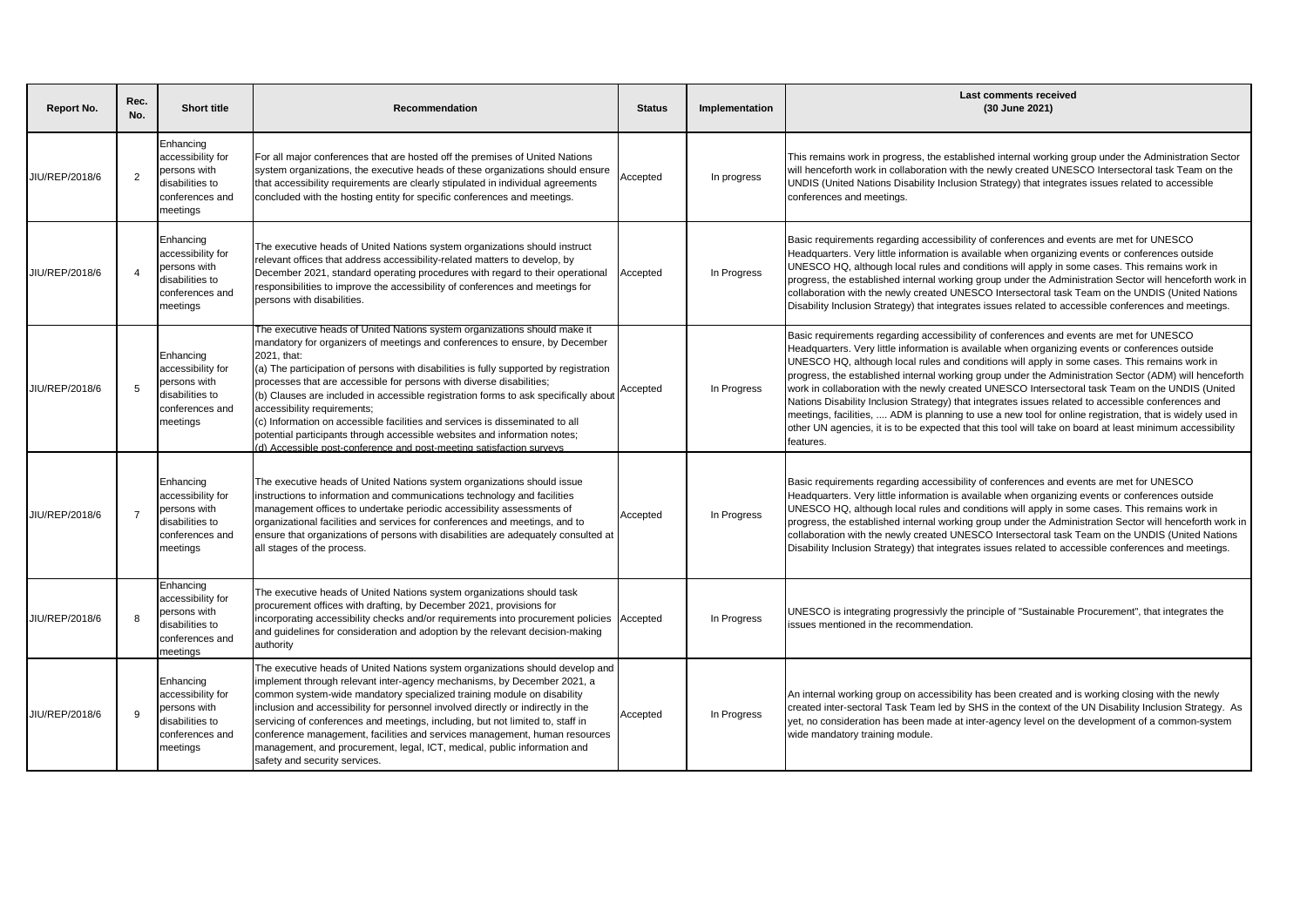| <b>Report No.</b> | Rec.<br>No.    | <b>Short title</b>                                                                               | Recommendation                                                                                                                                                                                                                                                                                                                                                                                                                                                                                                                                                                                                                                                                                     | <b>Status</b> | Implementation | <b>Last comments received</b><br>(30 June 2021)                                                                                                                                                                                                                                                                                                                                                                                                                                                                                                                                                                                                                                                                                                                                                                                                        |
|-------------------|----------------|--------------------------------------------------------------------------------------------------|----------------------------------------------------------------------------------------------------------------------------------------------------------------------------------------------------------------------------------------------------------------------------------------------------------------------------------------------------------------------------------------------------------------------------------------------------------------------------------------------------------------------------------------------------------------------------------------------------------------------------------------------------------------------------------------------------|---------------|----------------|--------------------------------------------------------------------------------------------------------------------------------------------------------------------------------------------------------------------------------------------------------------------------------------------------------------------------------------------------------------------------------------------------------------------------------------------------------------------------------------------------------------------------------------------------------------------------------------------------------------------------------------------------------------------------------------------------------------------------------------------------------------------------------------------------------------------------------------------------------|
| JIU/REP/2018/6    | $\overline{2}$ | Enhancing<br>accessibility for<br>persons with<br>disabilities to<br>conferences and<br>meetings | For all major conferences that are hosted off the premises of United Nations<br>system organizations, the executive heads of these organizations should ensure<br>that accessibility requirements are clearly stipulated in individual agreements<br>concluded with the hosting entity for specific conferences and meetings.                                                                                                                                                                                                                                                                                                                                                                      | Accepted      | In progress    | This remains work in progress, the established internal working group under the Administration Sector<br>will henceforth work in collaboration with the newly created UNESCO Intersectoral task Team on the<br>UNDIS (United Nations Disability Inclusion Strategy) that integrates issues related to accessible<br>conferences and meetings.                                                                                                                                                                                                                                                                                                                                                                                                                                                                                                          |
| JIU/REP/2018/6    | $\overline{4}$ | Enhancing<br>accessibility for<br>persons with<br>disabilities to<br>conferences and<br>meetings | The executive heads of United Nations system organizations should instruct<br>relevant offices that address accessibility-related matters to develop, by<br>December 2021, standard operating procedures with regard to their operational<br>responsibilities to improve the accessibility of conferences and meetings for<br>persons with disabilities.                                                                                                                                                                                                                                                                                                                                           | Accepted      | In Progress    | Basic requirements regarding accessibility of conferences and events are met for UNESCO<br>Headquarters. Very little information is available when organizing events or conferences outside<br>UNESCO HQ, although local rules and conditions will apply in some cases. This remains work in<br>progress, the established internal working group under the Administration Sector will henceforth work in<br>collaboration with the newly created UNESCO Intersectoral task Team on the UNDIS (United Nations<br>Disability Inclusion Strategy) that integrates issues related to accessible conferences and meetings.                                                                                                                                                                                                                                  |
| JIU/REP/2018/6    | 5              | Enhancing<br>accessibility for<br>persons with<br>disabilities to<br>conferences and<br>meetings | The executive heads of United Nations system organizations should make it<br>mandatory for organizers of meetings and conferences to ensure, by December<br>2021. that:<br>(a) The participation of persons with disabilities is fully supported by registration<br>processes that are accessible for persons with diverse disabilities;<br>(b) Clauses are included in accessible registration forms to ask specifically about<br>accessibility requirements;<br>(c) Information on accessible facilities and services is disseminated to all<br>potential participants through accessible websites and information notes;<br>d) Accessible post-conference and post-meeting satisfaction surveys | Accepted      | In Progress    | Basic requirements regarding accessibility of conferences and events are met for UNESCO<br>Headquarters. Very little information is available when organizing events or conferences outside<br>UNESCO HQ, although local rules and conditions will apply in some cases. This remains work in<br>progress, the established internal working group under the Administration Sector (ADM) will henceforth<br>work in collaboration with the newly created UNESCO Intersectoral task Team on the UNDIS (United<br>Nations Disability Inclusion Strategy) that integrates issues related to accessible conferences and<br>meetings, facilities,  ADM is planning to use a new tool for online registration, that is widely used in<br>other UN agencies, it is to be expected that this tool will take on board at least minimum accessibility<br>features. |
| JIU/REP/2018/6    | $\overline{7}$ | Enhancing<br>accessibility for<br>persons with<br>disabilities to<br>conferences and<br>meetings | The executive heads of United Nations system organizations should issue<br>instructions to information and communications technology and facilities<br>management offices to undertake periodic accessibility assessments of<br>organizational facilities and services for conferences and meetings, and to<br>ensure that organizations of persons with disabilities are adequately consulted at<br>all stages of the process.                                                                                                                                                                                                                                                                    | Accepted      | In Progress    | Basic requirements regarding accessibility of conferences and events are met for UNESCO<br>Headquarters. Very little information is available when organizing events or conferences outside<br>UNESCO HQ, although local rules and conditions will apply in some cases. This remains work in<br>progress, the established internal working group under the Administration Sector will henceforth work in<br>collaboration with the newly created UNESCO Intersectoral task Team on the UNDIS (United Nations<br>Disability Inclusion Strategy) that integrates issues related to accessible conferences and meetings.                                                                                                                                                                                                                                  |
| JIU/REP/2018/6    | -8             | Enhancing<br>accessibility for<br>persons with<br>disabilities to<br>conferences and<br>neetings | The executive heads of United Nations system organizations should task<br>procurement offices with drafting, by December 2021, provisions for<br>incorporating accessibility checks and/or requirements into procurement policies<br>and quidelines for consideration and adoption by the relevant decision-making<br>authority                                                                                                                                                                                                                                                                                                                                                                    | Accepted      | In Progress    | UNESCO is integrating progressivly the principle of "Sustainable Procurement", that integrates the<br>issues mentioned in the recommendation.                                                                                                                                                                                                                                                                                                                                                                                                                                                                                                                                                                                                                                                                                                          |
| JIU/REP/2018/6    | 9              | Enhancing<br>accessibility for<br>persons with<br>disabilities to<br>conferences and<br>meetings | The executive heads of United Nations system organizations should develop and<br>implement through relevant inter-agency mechanisms, by December 2021, a<br>common system-wide mandatory specialized training module on disability<br>inclusion and accessibility for personnel involved directly or indirectly in the<br>servicing of conferences and meetings, including, but not limited to, staff in<br>conference management, facilities and services management, human resources<br>management, and procurement, legal, ICT, medical, public information and<br>safety and security services.                                                                                                | Accepted      | In Progress    | An internal working group on accessibility has been created and is working closing with the newly<br>created inter-sectoral Task Team led by SHS in the context of the UN Disability Inclusion Strategy. As<br>yet, no consideration has been made at inter-agency level on the development of a common-system<br>wide mandatory training module.                                                                                                                                                                                                                                                                                                                                                                                                                                                                                                      |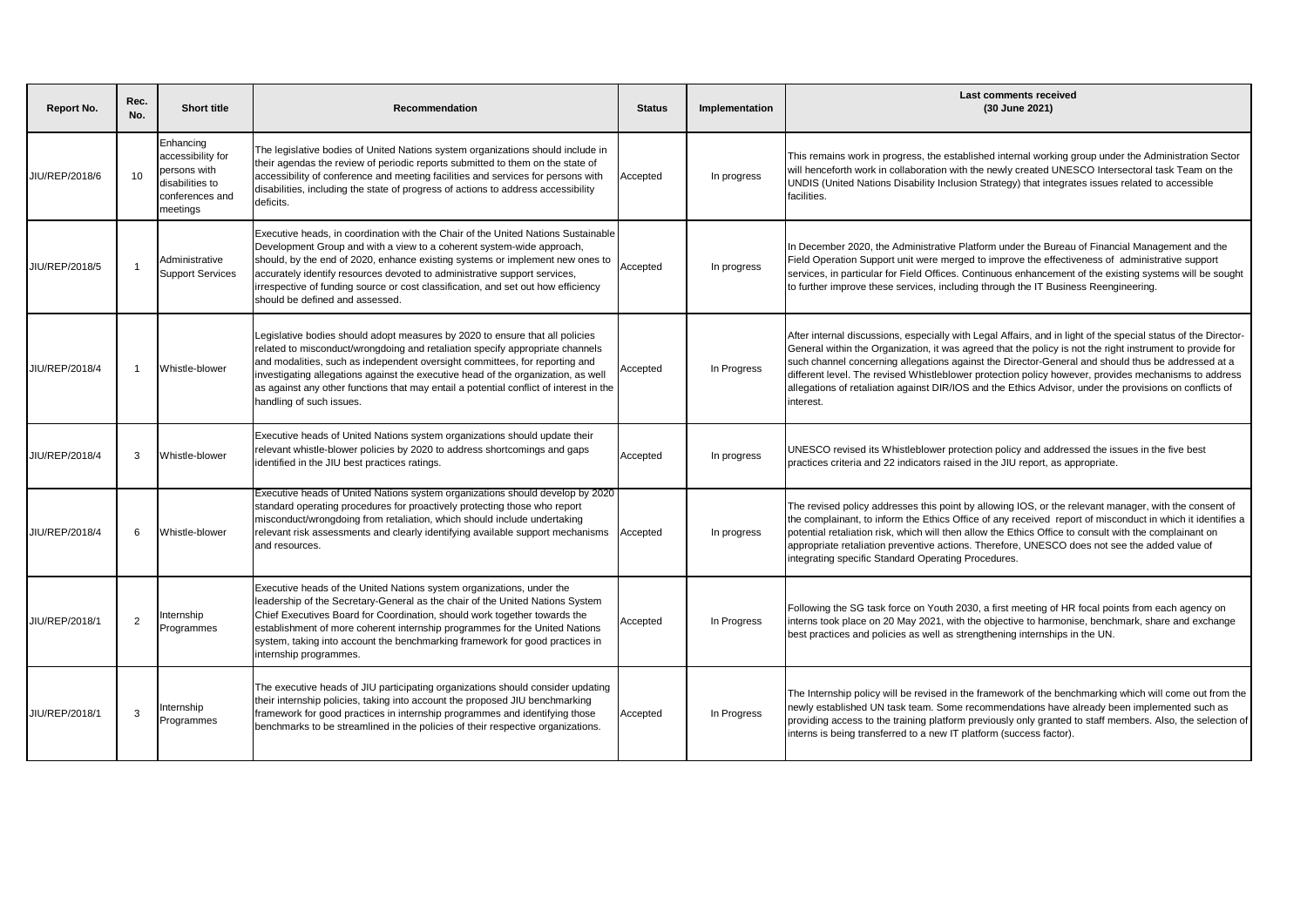| Report No.     | Rec.<br>No.     | <b>Short title</b>                                                                               | Recommendation                                                                                                                                                                                                                                                                                                                                                                                                                                          | <b>Status</b> | Implementation | Last comments received<br>(30 June 2021)                                                                                                                                                                                                                                                                                                                                                                                                                                                                                                                         |
|----------------|-----------------|--------------------------------------------------------------------------------------------------|---------------------------------------------------------------------------------------------------------------------------------------------------------------------------------------------------------------------------------------------------------------------------------------------------------------------------------------------------------------------------------------------------------------------------------------------------------|---------------|----------------|------------------------------------------------------------------------------------------------------------------------------------------------------------------------------------------------------------------------------------------------------------------------------------------------------------------------------------------------------------------------------------------------------------------------------------------------------------------------------------------------------------------------------------------------------------------|
| JIU/REP/2018/6 | 10 <sup>1</sup> | Enhancing<br>accessibility for<br>persons with<br>disabilities to<br>conferences and<br>meetings | The legislative bodies of United Nations system organizations should include in<br>their agendas the review of periodic reports submitted to them on the state of<br>accessibility of conference and meeting facilities and services for persons with<br>disabilities, including the state of progress of actions to address accessibility<br>deficits.                                                                                                 | Accepted      | In progress    | This remains work in progress, the established internal working group under the Administration Sector<br>will henceforth work in collaboration with the newly created UNESCO Intersectoral task Team on the<br>JNDIS (United Nations Disability Inclusion Strategy) that integrates issues related to accessible<br>facilities.                                                                                                                                                                                                                                  |
| JIU/REP/2018/5 | -1              | Administrative<br><b>Support Services</b>                                                        | Executive heads, in coordination with the Chair of the United Nations Sustainable<br>Development Group and with a view to a coherent system-wide approach,<br>should, by the end of 2020, enhance existing systems or implement new ones to<br>accurately identify resources devoted to administrative support services,<br>irrespective of funding source or cost classification, and set out how efficiency<br>should be defined and assessed.        | Accepted      | In progress    | n December 2020, the Administrative Platform under the Bureau of Financial Management and the<br>Field Operation Support unit were merged to improve the effectiveness of administrative support<br>services, in particular for Field Offices. Continuous enhancement of the existing systems will be sought<br>to further improve these services, including through the IT Business Reengineering.                                                                                                                                                              |
| JIU/REP/2018/4 | $\overline{1}$  | Whistle-blower                                                                                   | Legislative bodies should adopt measures by 2020 to ensure that all policies<br>related to misconduct/wrongdoing and retaliation specify appropriate channels<br>and modalities, such as independent oversight committees, for reporting and<br>investigating allegations against the executive head of the organization, as well<br>as against any other functions that may entail a potential conflict of interest in the<br>handling of such issues. | Accepted      | In Progress    | After internal discussions, especially with Legal Affairs, and in light of the special status of the Director-<br>General within the Organization, it was agreed that the policy is not the right instrument to provide for<br>such channel concerning allegations against the Director-General and should thus be addressed at a<br>different level. The revised Whistleblower protection policy however, provides mechanisms to address<br>allegations of retaliation against DIR/IOS and the Ethics Advisor, under the provisions on conflicts of<br>nterest. |
| JIU/REP/2018/4 | 3               | Whistle-blower                                                                                   | Executive heads of United Nations system organizations should update their<br>relevant whistle-blower policies by 2020 to address shortcomings and gaps<br>identified in the JIU best practices ratings.                                                                                                                                                                                                                                                | Accepted      | In progress    | UNESCO revised its Whistleblower protection policy and addressed the issues in the five best<br>practices criteria and 22 indicators raised in the JIU report, as appropriate.                                                                                                                                                                                                                                                                                                                                                                                   |
| JIU/REP/2018/4 | 6               | Whistle-blower                                                                                   | Executive heads of United Nations system organizations should develop by 2020<br>standard operating procedures for proactively protecting those who report<br>misconduct/wrongdoing from retaliation, which should include undertaking<br>relevant risk assessments and clearly identifying available support mechanisms<br>and resources.                                                                                                              | Accepted      | In progress    | The revised policy addresses this point by allowing IOS, or the relevant manager, with the consent of<br>the complainant, to inform the Ethics Office of any received report of misconduct in which it identifies a<br>potential retaliation risk, which will then allow the Ethics Office to consult with the complainant on<br>appropriate retaliation preventive actions. Therefore, UNESCO does not see the added value of<br>ntegrating specific Standard Operating Procedures.                                                                             |
| JIU/REP/2018/1 | $\overline{2}$  | nternship<br>Programmes                                                                          | Executive heads of the United Nations system organizations, under the<br>leadership of the Secretary-General as the chair of the United Nations System<br>Chief Executives Board for Coordination, should work together towards the<br>establishment of more coherent internship programmes for the United Nations<br>system, taking into account the benchmarking framework for good practices in<br>internship programmes.                            | Accepted      | In Progress    | Following the SG task force on Youth 2030, a first meeting of HR focal points from each agency on<br>nterns took place on 20 May 2021, with the objective to harmonise, benchmark, share and exchange<br>best practices and policies as well as strengthening internships in the UN.                                                                                                                                                                                                                                                                             |
| JIU/REP/2018/1 | 3               | nternship<br>Programmes                                                                          | The executive heads of JIU participating organizations should consider updating<br>their internship policies, taking into account the proposed JIU benchmarking<br>framework for good practices in internship programmes and identifying those<br>benchmarks to be streamlined in the policies of their respective organizations.                                                                                                                       | Accepted      | In Progress    | The Internship policy will be revised in the framework of the benchmarking which will come out from the<br>newly established UN task team. Some recommendations have already been implemented such as<br>providing access to the training platform previously only granted to staff members. Also, the selection of<br>nterns is being transferred to a new IT platform (success factor).                                                                                                                                                                        |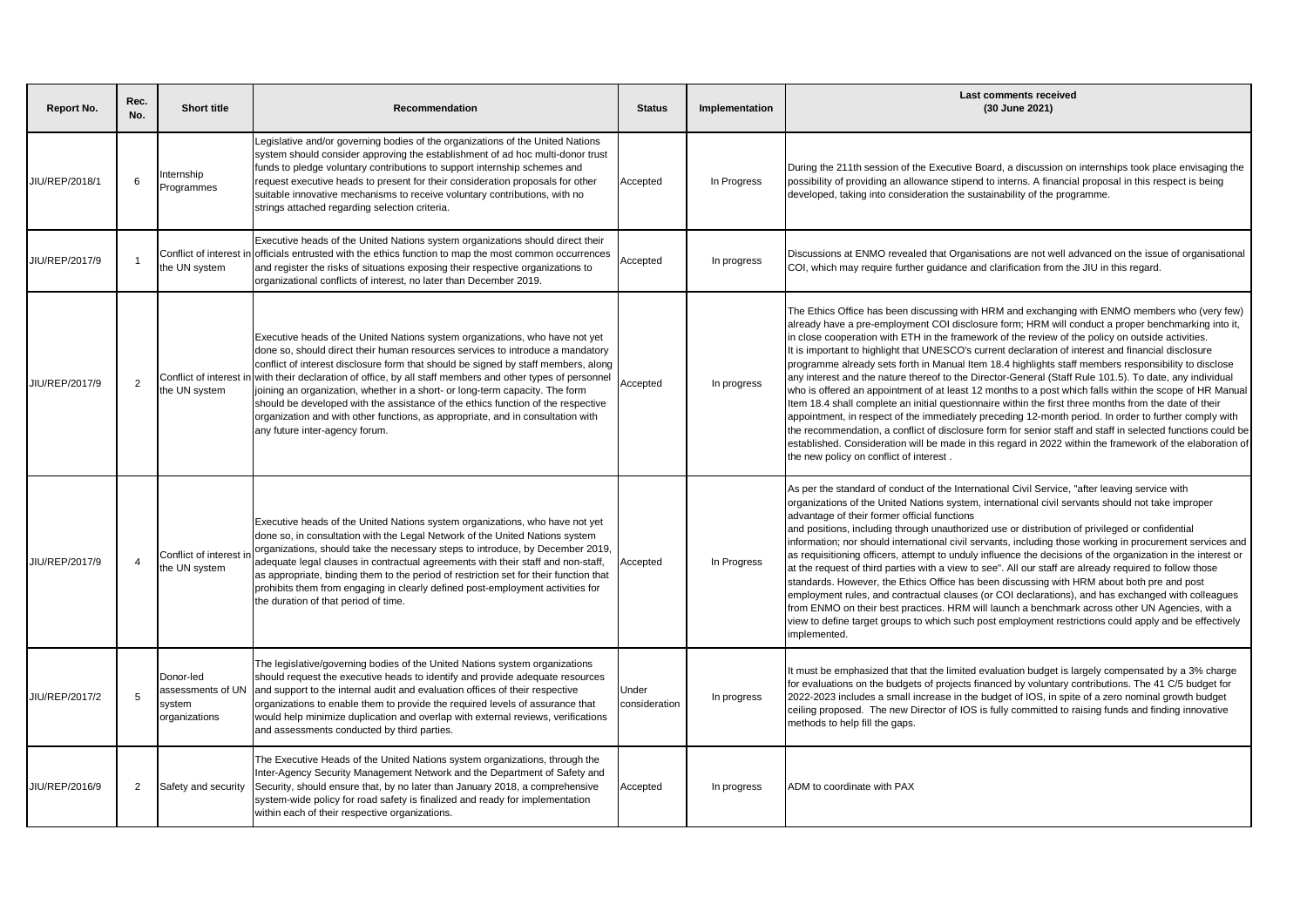| Report No.     | Rec.<br>No.    | <b>Short title</b>                                        | Recommendation                                                                                                                                                                                                                                                                                                                                                                                                                                                                                                                                                                                                                       | <b>Status</b>          | Implementation | Last comments received<br>(30 June 2021)                                                                                                                                                                                                                                                                                                                                                                                                                                                                                                                                                                                                                                                                                                                                                                                                                                                                                                                                                                                                                                                                                                                                                                                                 |
|----------------|----------------|-----------------------------------------------------------|--------------------------------------------------------------------------------------------------------------------------------------------------------------------------------------------------------------------------------------------------------------------------------------------------------------------------------------------------------------------------------------------------------------------------------------------------------------------------------------------------------------------------------------------------------------------------------------------------------------------------------------|------------------------|----------------|------------------------------------------------------------------------------------------------------------------------------------------------------------------------------------------------------------------------------------------------------------------------------------------------------------------------------------------------------------------------------------------------------------------------------------------------------------------------------------------------------------------------------------------------------------------------------------------------------------------------------------------------------------------------------------------------------------------------------------------------------------------------------------------------------------------------------------------------------------------------------------------------------------------------------------------------------------------------------------------------------------------------------------------------------------------------------------------------------------------------------------------------------------------------------------------------------------------------------------------|
| JIU/REP/2018/1 | 6              | nternship<br>Programmes                                   | Legislative and/or governing bodies of the organizations of the United Nations<br>system should consider approving the establishment of ad hoc multi-donor trust<br>funds to pledge voluntary contributions to support internship schemes and<br>request executive heads to present for their consideration proposals for other<br>suitable innovative mechanisms to receive voluntary contributions, with no<br>strings attached regarding selection criteria.                                                                                                                                                                      | Accepted               | In Progress    | During the 211th session of the Executive Board, a discussion on internships took place envisaging the<br>possibility of providing an allowance stipend to interns. A financial proposal in this respect is being<br>developed, taking into consideration the sustainability of the programme.                                                                                                                                                                                                                                                                                                                                                                                                                                                                                                                                                                                                                                                                                                                                                                                                                                                                                                                                           |
| JIU/REP/2017/9 |                | Conflict of interest<br>the UN system                     | Executive heads of the United Nations system organizations should direct their<br>officials entrusted with the ethics function to map the most common occurrences<br>and register the risks of situations exposing their respective organizations to<br>organizational conflicts of interest, no later than December 2019.                                                                                                                                                                                                                                                                                                           | Accepted               | In progress    | Discussions at ENMO revealed that Organisations are not well advanced on the issue of organisational<br>COI, which may require further guidance and clarification from the JIU in this regard.                                                                                                                                                                                                                                                                                                                                                                                                                                                                                                                                                                                                                                                                                                                                                                                                                                                                                                                                                                                                                                           |
| JIU/REP/2017/9 | $\overline{2}$ | Conflict of interest<br>the UN system                     | Executive heads of the United Nations system organizations, who have not yet<br>done so, should direct their human resources services to introduce a mandatory<br>conflict of interest disclosure form that should be signed by staff members, along<br>with their declaration of office, by all staff members and other types of personnel<br>joining an organization, whether in a short- or long-term capacity. The form<br>should be developed with the assistance of the ethics function of the respective<br>organization and with other functions, as appropriate, and in consultation with<br>any future inter-agency forum. | Accepted               | In progress    | The Ethics Office has been discussing with HRM and exchanging with ENMO members who (very few)<br>already have a pre-employment COI disclosure form; HRM will conduct a proper benchmarking into it,<br>in close cooperation with ETH in the framework of the review of the policy on outside activities.<br>It is important to highlight that UNESCO's current declaration of interest and financial disclosure<br>programme already sets forth in Manual Item 18.4 highlights staff members responsibility to disclose<br>any interest and the nature thereof to the Director-General (Staff Rule 101.5). To date, any individual<br>who is offered an appointment of at least 12 months to a post which falls within the scope of HR Manual<br>Item 18.4 shall complete an initial questionnaire within the first three months from the date of their<br>appointment, in respect of the immediately preceding 12-month period. In order to further comply with<br>the recommendation, a conflict of disclosure form for senior staff and staff in selected functions could be<br>established. Consideration will be made in this regard in 2022 within the framework of the elaboration of<br>the new policy on conflict of interest. |
| JIU/REP/2017/9 | $\overline{4}$ | Conflict of interest<br>the UN system                     | Executive heads of the United Nations system organizations, who have not yet<br>done so, in consultation with the Legal Network of the United Nations system<br>organizations, should take the necessary steps to introduce, by December 2019,<br>adequate legal clauses in contractual agreements with their staff and non-staff,<br>as appropriate, binding them to the period of restriction set for their function that<br>prohibits them from engaging in clearly defined post-employment activities for<br>the duration of that period of time.                                                                                | Accepted               | In Progress    | As per the standard of conduct of the International Civil Service, "after leaving service with<br>organizations of the United Nations system, international civil servants should not take improper<br>advantage of their former official functions<br>and positions, including through unauthorized use or distribution of privileged or confidential<br>information; nor should international civil servants, including those working in procurement services and<br>as requisitioning officers, attempt to unduly influence the decisions of the organization in the interest or<br>at the request of third parties with a view to see". All our staff are already required to follow those<br>standards. However, the Ethics Office has been discussing with HRM about both pre and post<br>employment rules, and contractual clauses (or COI declarations), and has exchanged with colleagues<br>from ENMO on their best practices. HRM will launch a benchmark across other UN Agencies, with a<br>view to define target groups to which such post employment restrictions could apply and be effectively<br>implemented.                                                                                                          |
| JIU/REP/2017/2 | 5              | Donor-led<br>assessments of UN<br>system<br>organizations | The legislative/governing bodies of the United Nations system organizations<br>should request the executive heads to identify and provide adequate resources<br>and support to the internal audit and evaluation offices of their respective<br>organizations to enable them to provide the required levels of assurance that<br>would help minimize duplication and overlap with external reviews, verifications<br>and assessments conducted by third parties.                                                                                                                                                                     | Under<br>consideration | In progress    | It must be emphasized that that the limited evaluation budget is largely compensated by a 3% charge<br>for evaluations on the budgets of projects financed by voluntary contributions. The 41 C/5 budget for<br>2022-2023 includes a small increase in the budget of IOS, in spite of a zero nominal growth budget<br>ceiling proposed. The new Director of IOS is fully committed to raising funds and finding innovative<br>methods to help fill the gaps.                                                                                                                                                                                                                                                                                                                                                                                                                                                                                                                                                                                                                                                                                                                                                                             |
| JIU/REP/2016/9 | 2              | Safety and security                                       | The Executive Heads of the United Nations system organizations, through the<br>Inter-Agency Security Management Network and the Department of Safety and<br>Security, should ensure that, by no later than January 2018, a comprehensive<br>system-wide policy for road safety is finalized and ready for implementation<br>within each of their respective organizations.                                                                                                                                                                                                                                                           | Accepted               | In progress    | ADM to coordinate with PAX                                                                                                                                                                                                                                                                                                                                                                                                                                                                                                                                                                                                                                                                                                                                                                                                                                                                                                                                                                                                                                                                                                                                                                                                               |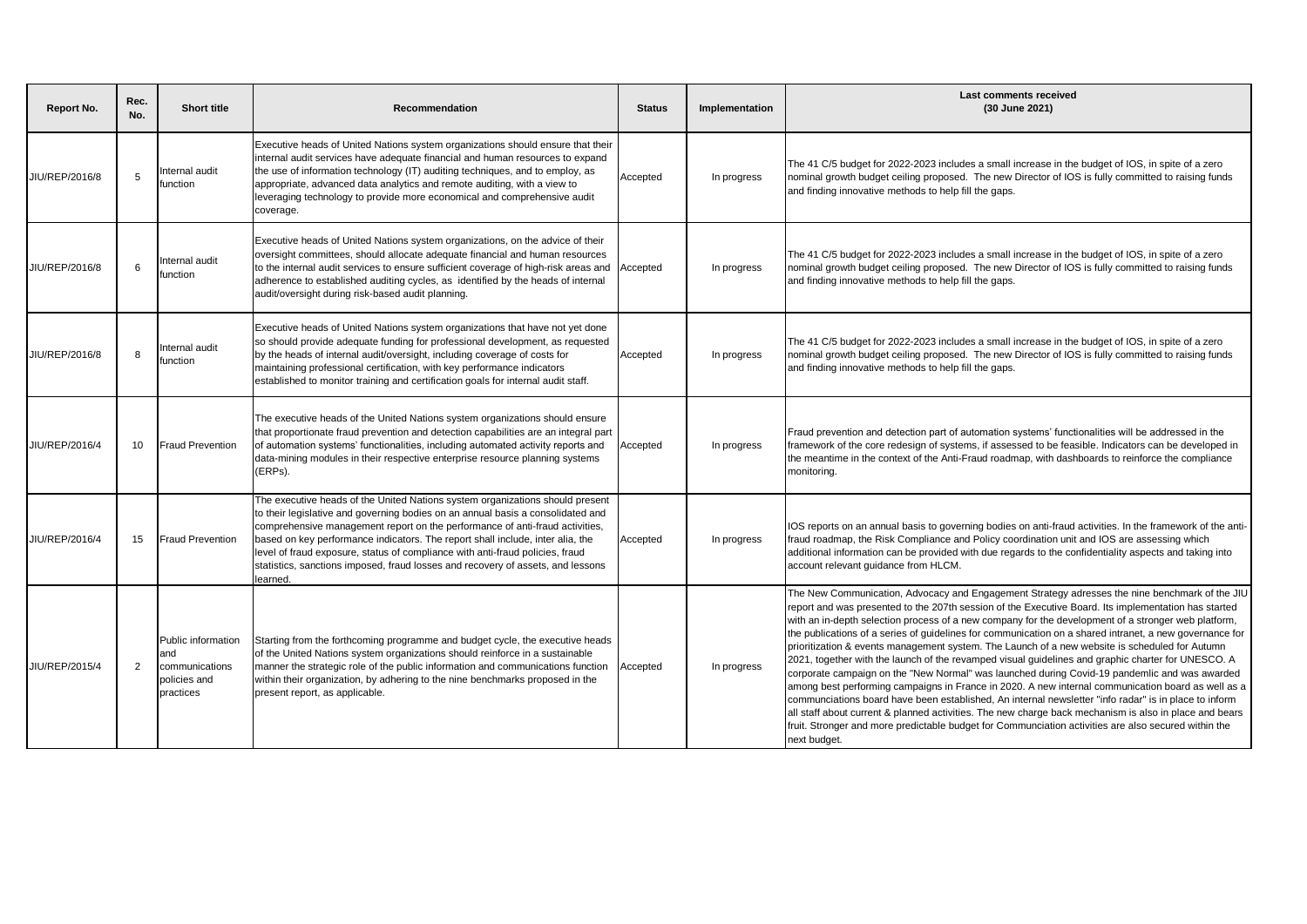| Report No.     | Rec.<br>No. | <b>Short title</b>                                                       | Recommendation                                                                                                                                                                                                                                                                                                                                                                                                                                                                                                    | <b>Status</b> | Implementation | Last comments received<br>(30 June 2021)                                                                                                                                                                                                                                                                                                                                                                                                                                                                                                                                                                                                                                                                                                                                                                                                                                                                                                                                                                                                                                                                                                                                           |
|----------------|-------------|--------------------------------------------------------------------------|-------------------------------------------------------------------------------------------------------------------------------------------------------------------------------------------------------------------------------------------------------------------------------------------------------------------------------------------------------------------------------------------------------------------------------------------------------------------------------------------------------------------|---------------|----------------|------------------------------------------------------------------------------------------------------------------------------------------------------------------------------------------------------------------------------------------------------------------------------------------------------------------------------------------------------------------------------------------------------------------------------------------------------------------------------------------------------------------------------------------------------------------------------------------------------------------------------------------------------------------------------------------------------------------------------------------------------------------------------------------------------------------------------------------------------------------------------------------------------------------------------------------------------------------------------------------------------------------------------------------------------------------------------------------------------------------------------------------------------------------------------------|
| JIU/REP/2016/8 | 5           | nternal audit<br>function                                                | Executive heads of United Nations system organizations should ensure that their<br>internal audit services have adequate financial and human resources to expand<br>the use of information technology (IT) auditing techniques, and to employ, as<br>appropriate, advanced data analytics and remote auditing, with a view to<br>leveraging technology to provide more economical and comprehensive audit<br>coverage.                                                                                            | Accepted      | In progress    | The 41 C/5 budget for 2022-2023 includes a small increase in the budget of IOS, in spite of a zero<br>nominal growth budget ceiling proposed. The new Director of IOS is fully committed to raising funds<br>and finding innovative methods to help fill the gaps.                                                                                                                                                                                                                                                                                                                                                                                                                                                                                                                                                                                                                                                                                                                                                                                                                                                                                                                 |
| JIU/REP/2016/8 | 6           | nternal audit<br>unction                                                 | Executive heads of United Nations system organizations, on the advice of their<br>oversight committees, should allocate adequate financial and human resources<br>to the internal audit services to ensure sufficient coverage of high-risk areas and<br>adherence to established auditing cycles, as identified by the heads of internal<br>audit/oversight during risk-based audit planning.                                                                                                                    | Accepted      | In progress    | The 41 C/5 budget for 2022-2023 includes a small increase in the budget of IOS, in spite of a zero<br>nominal growth budget ceiling proposed. The new Director of IOS is fully committed to raising funds<br>and finding innovative methods to help fill the gaps.                                                                                                                                                                                                                                                                                                                                                                                                                                                                                                                                                                                                                                                                                                                                                                                                                                                                                                                 |
| JIU/REP/2016/8 | 8           | nternal audit<br>unction                                                 | Executive heads of United Nations system organizations that have not yet done<br>so should provide adequate funding for professional development, as requested<br>by the heads of internal audit/oversight, including coverage of costs for<br>maintaining professional certification, with key performance indicators<br>established to monitor training and certification goals for internal audit staff.                                                                                                       | Accepted      | In progress    | The 41 C/5 budget for 2022-2023 includes a small increase in the budget of IOS, in spite of a zero<br>nominal growth budget ceiling proposed. The new Director of IOS is fully committed to raising funds<br>and finding innovative methods to help fill the gaps.                                                                                                                                                                                                                                                                                                                                                                                                                                                                                                                                                                                                                                                                                                                                                                                                                                                                                                                 |
| JIU/REP/2016/4 | 10          | <b>Fraud Prevention</b>                                                  | The executive heads of the United Nations system organizations should ensure<br>that proportionate fraud prevention and detection capabilities are an integral part<br>of automation systems' functionalities, including automated activity reports and<br>data-mining modules in their respective enterprise resource planning systems<br>ERPs).                                                                                                                                                                 | Accepted      | In progress    | Fraud prevention and detection part of automation systems' functionalities will be addressed in the<br>framework of the core redesign of systems, if assessed to be feasible. Indicators can be developed in<br>the meantime in the context of the Anti-Fraud roadmap, with dashboards to reinforce the compliance<br>monitoring.                                                                                                                                                                                                                                                                                                                                                                                                                                                                                                                                                                                                                                                                                                                                                                                                                                                  |
| JIU/REP/2016/4 | 15          | <b>Fraud Prevention</b>                                                  | The executive heads of the United Nations system organizations should present<br>to their legislative and governing bodies on an annual basis a consolidated and<br>comprehensive management report on the performance of anti-fraud activities,<br>based on key performance indicators. The report shall include, inter alia, the<br>level of fraud exposure, status of compliance with anti-fraud policies, fraud<br>statistics, sanctions imposed, fraud losses and recovery of assets, and lessons<br>earned. | Accepted      | In progress    | IOS reports on an annual basis to governing bodies on anti-fraud activities. In the framework of the anti-<br>fraud roadmap, the Risk Compliance and Policy coordination unit and IOS are assessing which<br>additional information can be provided with due regards to the confidentiality aspects and taking into<br>account relevant quidance from HLCM.                                                                                                                                                                                                                                                                                                                                                                                                                                                                                                                                                                                                                                                                                                                                                                                                                        |
| JIU/REP/2015/4 | 2           | Public information<br>and<br>communications<br>policies and<br>practices | Starting from the forthcoming programme and budget cycle, the executive heads<br>of the United Nations system organizations should reinforce in a sustainable<br>manner the strategic role of the public information and communications function<br>within their organization, by adhering to the nine benchmarks proposed in the<br>present report, as applicable.                                                                                                                                               | Accepted      | In progress    | The New Communication, Advocacy and Engagement Strategy adresses the nine benchmark of the JIU<br>report and was presented to the 207th session of the Executive Board. Its implementation has started<br>with an in-depth selection process of a new company for the development of a stronger web platform,<br>the publications of a series of guidelines for communication on a shared intranet, a new governance for<br>prioritization & events management system. The Launch of a new website is scheduled for Autumn<br>2021, together with the launch of the revamped visual quidelines and graphic charter for UNESCO. A<br>corporate campaign on the "New Normal" was launched during Covid-19 pandemlic and was awarded<br>among best performing campaigns in France in 2020. A new internal communication board as well as a<br>communciations board have been established, An internal newsletter "info radar" is in place to inform<br>all staff about current & planned activities. The new charge back mechanism is also in place and bears<br>fruit. Stronger and more predictable budget for Communciation activities are also secured within the<br>next budget. |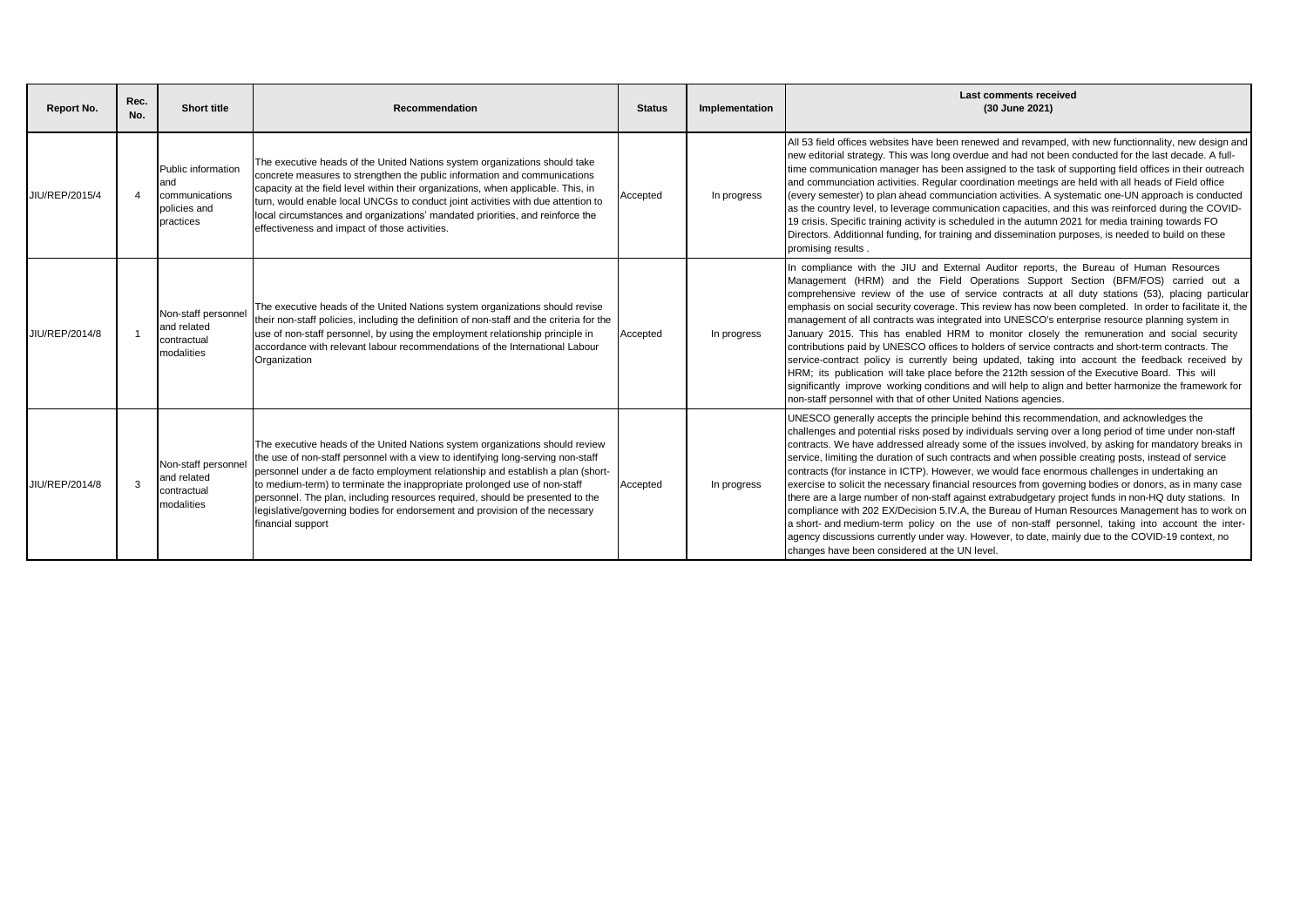| Report No.     | Rec.<br>No. | <b>Short title</b>                                                       | Recommendation                                                                                                                                                                                                                                                                                                                                                                                                                                                                                                        | <b>Status</b> | Implementation | <b>Last comments received</b><br>(30 June 2021)                                                                                                                                                                                                                                                                                                                                                                                                                                                                                                                                                                                                                                                                                                                                                                                                                                                                                                                                                                                                                                                      |
|----------------|-------------|--------------------------------------------------------------------------|-----------------------------------------------------------------------------------------------------------------------------------------------------------------------------------------------------------------------------------------------------------------------------------------------------------------------------------------------------------------------------------------------------------------------------------------------------------------------------------------------------------------------|---------------|----------------|------------------------------------------------------------------------------------------------------------------------------------------------------------------------------------------------------------------------------------------------------------------------------------------------------------------------------------------------------------------------------------------------------------------------------------------------------------------------------------------------------------------------------------------------------------------------------------------------------------------------------------------------------------------------------------------------------------------------------------------------------------------------------------------------------------------------------------------------------------------------------------------------------------------------------------------------------------------------------------------------------------------------------------------------------------------------------------------------------|
| JIU/REP/2015/4 |             | Public information<br>and<br>communications<br>policies and<br>practices | The executive heads of the United Nations system organizations should take<br>concrete measures to strengthen the public information and communications<br>capacity at the field level within their organizations, when applicable. This, in<br>turn, would enable local UNCGs to conduct joint activities with due attention to<br>local circumstances and organizations' mandated priorities, and reinforce the<br>effectiveness and impact of those activities.                                                    | Accepted      | In progress    | All 53 field offices websites have been renewed and revamped, with new functionnality, new design and<br>new editorial strategy. This was long overdue and had not been conducted for the last decade. A full-<br>time communication manager has been assigned to the task of supporting field offices in their outreach<br>and communciation activities. Regular coordination meetings are held with all heads of Field office<br>(every semester) to plan ahead communciation activities. A systematic one-UN approach is conducted<br>as the country level, to leverage communication capacities, and this was reinforced during the COVID-<br>19 crisis. Specific training activity is scheduled in the autumn 2021 for media training towards FO<br>Directors. Additionnal funding, for training and dissemination purposes, is needed to build on these<br>promising results.                                                                                                                                                                                                                  |
| JIU/REP/2014/8 |             | Non-staff personnel<br>and related<br>contractual<br>modalities          | The executive heads of the United Nations system organizations should revise<br>their non-staff policies, including the definition of non-staff and the criteria for the<br>use of non-staff personnel, by using the employment relationship principle in<br>accordance with relevant labour recommendations of the International Labour<br>Organization                                                                                                                                                              | Accepted      | In progress    | In compliance with the JIU and External Auditor reports, the Bureau of Human Resources<br>Management (HRM) and the Field Operations Support Section (BFM/FOS) carried out a<br>comprehensive review of the use of service contracts at all duty stations (53), placing particular<br>emphasis on social security coverage. This review has now been completed. In order to facilitate it, the<br>management of all contracts was integrated into UNESCO's enterprise resource planning system in<br>January 2015. This has enabled HRM to monitor closely the remuneration and social security<br>contributions paid by UNESCO offices to holders of service contracts and short-term contracts. The<br>service-contract policy is currently being updated, taking into account the feedback received by<br>HRM; its publication will take place before the 212th session of the Executive Board. This will<br>significantly improve working conditions and will help to align and better harmonize the framework for<br>non-staff personnel with that of other United Nations agencies.             |
| JIU/REP/2014/8 | 3           | Non-staff personne<br>and related<br>contractual<br>modalities           | The executive heads of the United Nations system organizations should review<br>the use of non-staff personnel with a view to identifying long-serving non-staff<br>personnel under a de facto employment relationship and establish a plan (short-<br>to medium-term) to terminate the inappropriate prolonged use of non-staff<br>personnel. The plan, including resources required, should be presented to the<br>legislative/governing bodies for endorsement and provision of the necessary<br>financial support | Accepted      | In progress    | UNESCO generally accepts the principle behind this recommendation, and acknowledges the<br>challenges and potential risks posed by individuals serving over a long period of time under non-staff<br>contracts. We have addressed already some of the issues involved, by asking for mandatory breaks in<br>service, limiting the duration of such contracts and when possible creating posts, instead of service<br>contracts (for instance in ICTP). However, we would face enormous challenges in undertaking an<br>exercise to solicit the necessary financial resources from governing bodies or donors, as in many case<br>there are a large number of non-staff against extrabudgetary project funds in non-HQ duty stations. In<br>compliance with 202 EX/Decision 5.IV.A, the Bureau of Human Resources Management has to work on<br>a short- and medium-term policy on the use of non-staff personnel, taking into account the inter-<br>agency discussions currently under way. However, to date, mainly due to the COVID-19 context, no<br>changes have been considered at the UN level. |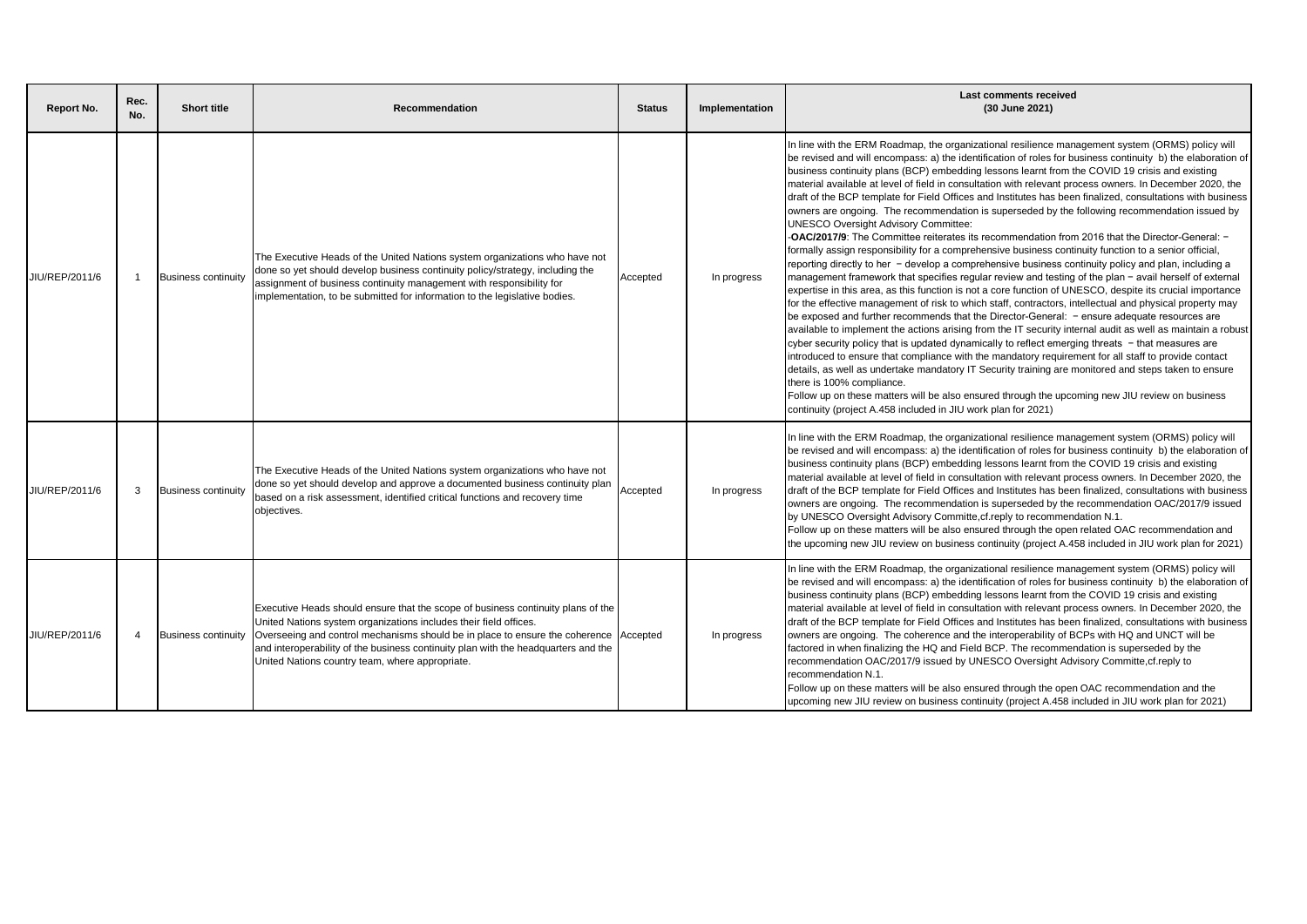| Report No.     | Rec.<br>No. | <b>Short title</b>         | Recommendation                                                                                                                                                                                                                                                                                                                                                                          | <b>Status</b> | Implementation | <b>Last comments received</b><br>(30 June 2021)                                                                                                                                                                                                                                                                                                                                                                                                                                                                                                                                                                                                                                                                                                                                                                                                                                                                                                                                                                                                                                                                                                                                                                                                                                                                                                                                                                                                                                                                                                                                                                                                                                                                                                                                                                                                                                                                                                                                                                                                                                          |
|----------------|-------------|----------------------------|-----------------------------------------------------------------------------------------------------------------------------------------------------------------------------------------------------------------------------------------------------------------------------------------------------------------------------------------------------------------------------------------|---------------|----------------|------------------------------------------------------------------------------------------------------------------------------------------------------------------------------------------------------------------------------------------------------------------------------------------------------------------------------------------------------------------------------------------------------------------------------------------------------------------------------------------------------------------------------------------------------------------------------------------------------------------------------------------------------------------------------------------------------------------------------------------------------------------------------------------------------------------------------------------------------------------------------------------------------------------------------------------------------------------------------------------------------------------------------------------------------------------------------------------------------------------------------------------------------------------------------------------------------------------------------------------------------------------------------------------------------------------------------------------------------------------------------------------------------------------------------------------------------------------------------------------------------------------------------------------------------------------------------------------------------------------------------------------------------------------------------------------------------------------------------------------------------------------------------------------------------------------------------------------------------------------------------------------------------------------------------------------------------------------------------------------------------------------------------------------------------------------------------------------|
| JIU/REP/2011/6 |             | <b>Business continuity</b> | The Executive Heads of the United Nations system organizations who have not<br>done so yet should develop business continuity policy/strategy, including the<br>assignment of business continuity management with responsibility for<br>implementation, to be submitted for information to the legislative bodies.                                                                      | Accepted      | In progress    | In line with the ERM Roadmap, the organizational resilience management system (ORMS) policy will<br>be revised and will encompass: a) the identification of roles for business continuity b) the elaboration of<br>business continuity plans (BCP) embedding lessons learnt from the COVID 19 crisis and existing<br>material available at level of field in consultation with relevant process owners. In December 2020, the<br>draft of the BCP template for Field Offices and Institutes has been finalized, consultations with business<br>owners are ongoing. The recommendation is superseded by the following recommendation issued by<br><b>UNESCO Oversight Advisory Committee:</b><br>-OAC/2017/9: The Committee reiterates its recommendation from 2016 that the Director-General: -<br>formally assign responsibility for a comprehensive business continuity function to a senior official,<br>reporting directly to her - develop a comprehensive business continuity policy and plan, including a<br>management framework that specifies regular review and testing of the plan - avail herself of external<br>expertise in this area, as this function is not a core function of UNESCO, despite its crucial importance<br>for the effective management of risk to which staff, contractors, intellectual and physical property may<br>be exposed and further recommends that the Director-General: - ensure adequate resources are<br>available to implement the actions arising from the IT security internal audit as well as maintain a robust<br>cyber security policy that is updated dynamically to reflect emerging threats - that measures are<br>introduced to ensure that compliance with the mandatory requirement for all staff to provide contact<br>details, as well as undertake mandatory IT Security training are monitored and steps taken to ensure<br>there is 100% compliance.<br>Follow up on these matters will be also ensured through the upcoming new JIU review on business<br>continuity (project A.458 included in JIU work plan for 2021) |
| JIU/REP/2011/6 | 3           | <b>Business continuity</b> | The Executive Heads of the United Nations system organizations who have not<br>done so yet should develop and approve a documented business continuity plan<br>based on a risk assessment, identified critical functions and recovery time<br>objectives.                                                                                                                               | Accepted      | In progress    | In line with the ERM Roadmap, the organizational resilience management system (ORMS) policy will<br>be revised and will encompass: a) the identification of roles for business continuity b) the elaboration of<br>business continuity plans (BCP) embedding lessons learnt from the COVID 19 crisis and existing<br>material available at level of field in consultation with relevant process owners. In December 2020, the<br>draft of the BCP template for Field Offices and Institutes has been finalized, consultations with business<br>owners are ongoing. The recommendation is superseded by the recommendation OAC/2017/9 issued<br>by UNESCO Oversight Advisory Committe, cf. reply to recommendation N.1.<br>Follow up on these matters will be also ensured through the open related OAC recommendation and<br>the upcoming new JIU review on business continuity (project A.458 included in JIU work plan for 2021)                                                                                                                                                                                                                                                                                                                                                                                                                                                                                                                                                                                                                                                                                                                                                                                                                                                                                                                                                                                                                                                                                                                                                       |
| JIU/REP/2011/6 | 4           | <b>Business continuity</b> | Executive Heads should ensure that the scope of business continuity plans of the<br>United Nations system organizations includes their field offices.<br>Overseeing and control mechanisms should be in place to ensure the coherence Accepted<br>and interoperability of the business continuity plan with the headquarters and the<br>United Nations country team, where appropriate. |               | In progress    | In line with the ERM Roadmap, the organizational resilience management system (ORMS) policy will<br>be revised and will encompass: a) the identification of roles for business continuity b) the elaboration of<br>business continuity plans (BCP) embedding lessons learnt from the COVID 19 crisis and existing<br>material available at level of field in consultation with relevant process owners. In December 2020, the<br>draft of the BCP template for Field Offices and Institutes has been finalized, consultations with business<br>owners are ongoing. The coherence and the interoperability of BCPs with HQ and UNCT will be<br>factored in when finalizing the HQ and Field BCP. The recommendation is superseded by the<br>recommendation OAC/2017/9 issued by UNESCO Oversight Advisory Committe, cf. reply to<br>recommendation N.1.<br>Follow up on these matters will be also ensured through the open OAC recommendation and the<br>upcoming new JIU review on business continuity (project A.458 included in JIU work plan for 2021)                                                                                                                                                                                                                                                                                                                                                                                                                                                                                                                                                                                                                                                                                                                                                                                                                                                                                                                                                                                                                               |